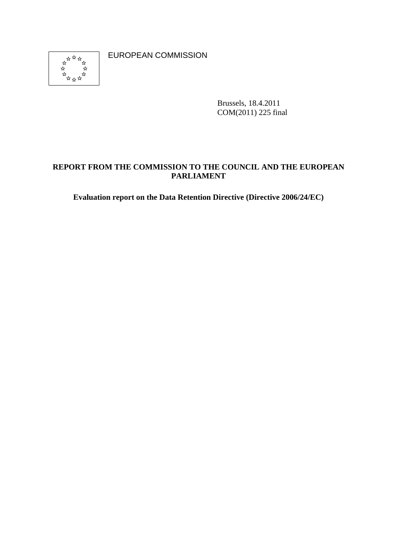

EUROPEAN COMMISSION

Brussels, 18.4.2011 COM(2011) 225 final

## **REPORT FROM THE COMMISSION TO THE COUNCIL AND THE EUROPEAN PARLIAMENT**

**Evaluation report on the Data Retention Directive (Directive 2006/24/EC)**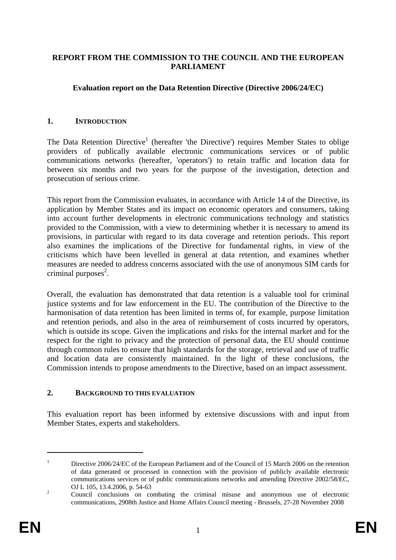### **REPORT FROM THE COMMISSION TO THE COUNCIL AND THE EUROPEAN PARLIAMENT**

## **Evaluation report on the Data Retention Directive (Directive 2006/24/EC)**

#### **1. INTRODUCTION**

The Data Retention Directive<sup>1</sup> (hereafter 'the Directive') requires Member States to oblige providers of publically available electronic communications services or of public communications networks (hereafter, 'operators') to retain traffic and location data for between six months and two years for the purpose of the investigation, detection and prosecution of serious crime.

This report from the Commission evaluates, in accordance with Article 14 of the Directive, its application by Member States and its impact on economic operators and consumers, taking into account further developments in electronic communications technology and statistics provided to the Commission, with a view to determining whether it is necessary to amend its provisions, in particular with regard to its data coverage and retention periods. This report also examines the implications of the Directive for fundamental rights, in view of the criticisms which have been levelled in general at data retention, and examines whether measures are needed to address concerns associated with the use of anonymous SIM cards for criminal purposes $2$ .

Overall, the evaluation has demonstrated that data retention is a valuable tool for criminal justice systems and for law enforcement in the EU. The contribution of the Directive to the harmonisation of data retention has been limited in terms of, for example, purpose limitation and retention periods, and also in the area of reimbursement of costs incurred by operators, which is outside its scope. Given the implications and risks for the internal market and for the respect for the right to privacy and the protection of personal data, the EU should continue through common rules to ensure that high standards for the storage, retrieval and use of traffic and location data are consistently maintained. In the light of these conclusions, the Commission intends to propose amendments to the Directive, based on an impact assessment.

## **2. BACKGROUND TO THIS EVALUATION**

This evaluation report has been informed by extensive discussions with and input from Member States, experts and stakeholders.

<sup>1</sup> Directive 2006/24/EC of the European Parliament and of the Council of 15 March 2006 on the retention of data generated or processed in connection with the provision of publicly available electronic communications services or of public communications networks and amending Directive 2002/58/EC, OJ L 105, 13.4.2006, p. 54-63

Council conclusions on combating the criminal misuse and anonymous use of electronic communications, 2908th Justice and Home Affairs Council meeting - Brussels, 27-28 November 2008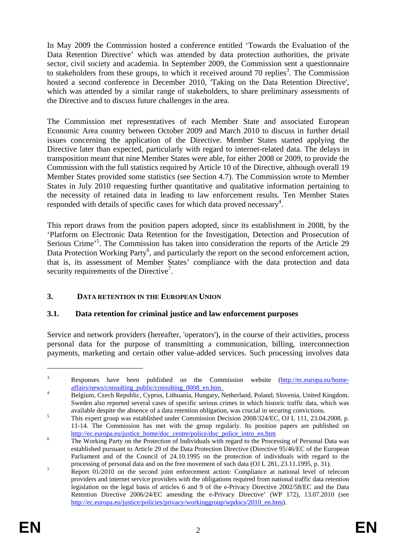In May 2009 the Commission hosted a conference entitled 'Towards the Evaluation of the Data Retention Directive' which was attended by data protection authorities, the private sector, civil society and academia. In September 2009, the Commission sent a questionnaire to stakeholders from these groups, to which it received around 70 replies<sup>3</sup>. The Commission hosted a second conference in December 2010, 'Taking on the Data Retention Directive', which was attended by a similar range of stakeholders, to share preliminary assessments of the Directive and to discuss future challenges in the area.

The Commission met representatives of each Member State and associated European Economic Area country between October 2009 and March 2010 to discuss in further detail issues concerning the application of the Directive. Member States started applying the Directive later than expected, particularly with regard to internet-related data. The delays in transposition meant that nine Member States were able, for either 2008 or 2009, to provide the Commission with the full statistics required by Article 10 of the Directive, although overall 19 Member States provided some statistics (see Section 4.7). The Commission wrote to Member States in July 2010 requesting further quantitative and qualitative information pertaining to the necessity of retained data in leading to law enforcement results. Ten Member States responded with details of specific cases for which data proved necessary<sup>4</sup>.

This report draws from the position papers adopted, since its establishment in 2008, by the 'Platform on Electronic Data Retention for the Investigation, Detection and Prosecution of Serious Crime'<sup>5</sup>. The Commission has taken into consideration the reports of the Article 29 Data Protection Working Party<sup>6</sup>, and particularly the report on the second enforcement action, that is, its assessment of Member States' compliance with the data protection and data security requirements of the Directive<sup>7</sup>.

## **3. DATA RETENTION IN THE EUROPEAN UNION**

## **3.1. Data retention for criminal justice and law enforcement purposes**

Service and network providers (hereafter, 'operators'), in the course of their activities, process personal data for the purpose of transmitting a communication, billing, interconnection payments, marketing and certain other value-added services. Such processing involves data

<u>.</u>

<sup>3</sup> Responses have been published on the Commission website [\(http://ec.europa.eu/home](http://ec.europa.eu/home-affairs/news/consulting_public/consulting_0008_en.htm)affairs/news/consulting\_public/consulting\_0008\_en.htm

Belgium, Czech Republic, Cyprus, Lithuania, Hungary, Netherland, Poland, Slovenia, United Kingdom. Sweden also reported several cases of specific serious crimes in which historic traffic data, which was available despite the absence of a data retention obligation, was crucial in securing convictions.

This expert group was established under Commission Decision 2008/324/EC, OJ L 111, 23.04.2008, p. 11-14. The Commission has met with the group regularly. Its position papers are published on [http://ec.europa.eu/justice\\_home/doc\\_centre/police/doc\\_police\\_intro\\_en.htm](http://ec.europa.eu/justice_home/doc_centre/police/doc_police_intro_en.htm)

The Working Party on the Protection of Individuals with regard to the Processing of Personal Data was established pursuant to Article 29 of the Data Protection Directive (Directive 95/46/EC of the European Parliament and of the Council of 24.10.1995 on the protection of individuals with regard to the processing of personal data and on the free movement of such data (OJ L 281, 23.11.1995, p. 31).

Report 01/2010 on the second joint enforcement action: Compliance at national level of telecom providers and internet service providers with the obligations required from national traffic data retention legislation on the legal basis of articles 6 and 9 of the e-Privacy Directive 2002/58/EC and the Data Retention Directive 2006/24/EC amending the e-Privacy Directive' (WP 172), 13.07.2010 (see http://ec.europa.eu/justice/policies/privacy/workinggroup/wpdocs/2010\_en.htm).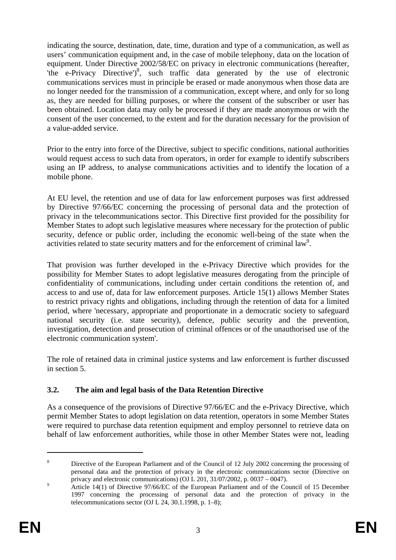indicating the source, destination, date, time, duration and type of a communication, as well as users' communication equipment and, in the case of mobile telephony, data on the location of equipment. Under Directive 2002/58/EC on privacy in electronic communications (hereafter, 'the e-Privacy Directive')<sup>8</sup>, such traffic data generated by the use of electronic communications services must in principle be erased or made anonymous when those data are no longer needed for the transmission of a communication, except where, and only for so long as, they are needed for billing purposes, or where the consent of the subscriber or user has been obtained. Location data may only be processed if they are made anonymous or with the consent of the user concerned, to the extent and for the duration necessary for the provision of a value-added service.

Prior to the entry into force of the Directive, subject to specific conditions, national authorities would request access to such data from operators, in order for example to identify subscribers using an IP address, to analyse communications activities and to identify the location of a mobile phone.

At EU level, the retention and use of data for law enforcement purposes was first addressed by Directive 97/66/EC concerning the processing of personal data and the protection of privacy in the telecommunications sector. This Directive first provided for the possibility for Member States to adopt such legislative measures where necessary for the protection of public security, defence or public order, including the economic well-being of the state when the activities related to state security matters and for the enforcement of criminal law<sup>9</sup>.

That provision was further developed in the e-Privacy Directive which provides for the possibility for Member States to adopt legislative measures derogating from the principle of confidentiality of communications, including under certain conditions the retention of, and access to and use of, data for law enforcement purposes. Article 15(1) allows Member States to restrict privacy rights and obligations, including through the retention of data for a limited period, where 'necessary, appropriate and proportionate in a democratic society to safeguard national security (i.e. state security), defence, public security and the prevention, investigation, detection and prosecution of criminal offences or of the unauthorised use of the electronic communication system'.

The role of retained data in criminal justice systems and law enforcement is further discussed in section 5.

## **3.2. The aim and legal basis of the Data Retention Directive**

As a consequence of the provisions of Directive 97/66/EC and the e-Privacy Directive, which permit Member States to adopt legislation on data retention, operators in some Member States were required to purchase data retention equipment and employ personnel to retrieve data on behalf of law enforcement authorities, while those in other Member States were not, leading

<sup>8</sup> Directive of the European Parliament and of the Council of 12 July 2002 concerning the processing of personal data and the protection of privacy in the electronic communications sector (Directive on privacy and electronic communications) (OJ L 201, 31/07/2002, p. 0037 – 0047).

Article 14(1) of Directive 97/66/EC of the European Parliament and of the Council of 15 December 1997 concerning the processing of personal data and the protection of privacy in the telecommunications sector (OJ L 24, 30.1.1998, p. 1–8);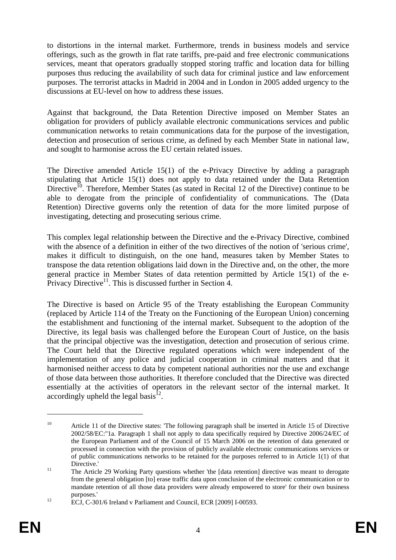to distortions in the internal market. Furthermore, trends in business models and service offerings, such as the growth in flat rate tariffs, pre-paid and free electronic communications services, meant that operators gradually stopped storing traffic and location data for billing purposes thus reducing the availability of such data for criminal justice and law enforcement purposes. The terrorist attacks in Madrid in 2004 and in London in 2005 added urgency to the discussions at EU-level on how to address these issues.

Against that background, the Data Retention Directive imposed on Member States an obligation for providers of publicly available electronic communications services and public communication networks to retain communications data for the purpose of the investigation, detection and prosecution of serious crime, as defined by each Member State in national law, and sought to harmonise across the EU certain related issues.

The Directive amended Article 15(1) of the e-Privacy Directive by adding a paragraph stipulating that Article 15(1) does not apply to data retained under the Data Retention Directive<sup>10</sup>. Therefore, Member States (as stated in Recital 12 of the Directive) continue to be able to derogate from the principle of confidentiality of communications. The (Data Retention) Directive governs only the retention of data for the more limited purpose of investigating, detecting and prosecuting serious crime.

This complex legal relationship between the Directive and the e-Privacy Directive, combined with the absence of a definition in either of the two directives of the notion of 'serious crime', makes it difficult to distinguish, on the one hand, measures taken by Member States to transpose the data retention obligations laid down in the Directive and, on the other, the more general practice in Member States of data retention permitted by Article 15(1) of the e-Privacy Directive<sup>11</sup>. This is discussed further in Section 4.

The Directive is based on Article 95 of the Treaty establishing the European Community (replaced by Article 114 of the Treaty on the Functioning of the European Union) concerning the establishment and functioning of the internal market. Subsequent to the adoption of the Directive, its legal basis was challenged before the European Court of Justice, on the basis that the principal objective was the investigation, detection and prosecution of serious crime. The Court held that the Directive regulated operations which were independent of the implementation of any police and judicial cooperation in criminal matters and that it harmonised neither access to data by competent national authorities nor the use and exchange of those data between those authorities. It therefore concluded that the Directive was directed essentially at the activities of operators in the relevant sector of the internal market. It accordingly upheld the legal basis<sup>12</sup>.

<u>.</u>

<sup>&</sup>lt;sup>10</sup> Article 11 of the Directive states: 'The following paragraph shall be inserted in Article 15 of Directive 2002/58/EC:"1a. Paragraph 1 shall not apply to data specifically required by Directive 2006/24/EC of the European Parliament and of the Council of 15 March 2006 on the retention of data generated or processed in connection with the provision of publicly available electronic communications services or of public communications networks to be retained for the purposes referred to in Article 1(1) of that Directive.'<br>The Article 29 Working Party questions whether 'the [data retention] directive was meant to derogate

from the general obligation [to] erase traffic data upon conclusion of the electronic communication or to mandate retention of all those data providers were already empowered to store' for their own business purposes.'<br>
12 ECJ, C-301/6 Ireland v Parliament and Council, ECR [2009] I-00593.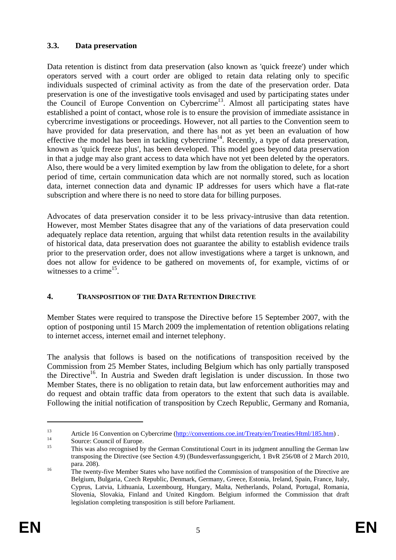## **3.3. Data preservation**

Data retention is distinct from data preservation (also known as 'quick freeze') under which operators served with a court order are obliged to retain data relating only to specific individuals suspected of criminal activity as from the date of the preservation order. Data preservation is one of the investigative tools envisaged and used by participating states under the Council of Europe Convention on Cybercrime<sup>13</sup>. Almost all participating states have established a point of contact, whose role is to ensure the provision of immediate assistance in cybercrime investigations or proceedings. However, not all parties to the Convention seem to have provided for data preservation, and there has not as yet been an evaluation of how effective the model has been in tackling cybercrime<sup>14</sup>. Recently, a type of data preservation, known as 'quick freeze plus', has been developed. This model goes beyond data preservation in that a judge may also grant access to data which have not yet been deleted by the operators. Also, there would be a very limited exemption by law from the obligation to delete, for a short period of time, certain communication data which are not normally stored, such as location data, internet connection data and dynamic IP addresses for users which have a flat-rate subscription and where there is no need to store data for billing purposes.

Advocates of data preservation consider it to be less privacy-intrusive than data retention. However, most Member States disagree that any of the variations of data preservation could adequately replace data retention, arguing that whilst data retention results in the availability of historical data, data preservation does not guarantee the ability to establish evidence trails prior to the preservation order, does not allow investigations where a target is unknown, and does not allow for evidence to be gathered on movements of, for example, victims of or witnesses to a crime<sup>15</sup>.

## **4. TRANSPOSITION OF THE DATA RETENTION DIRECTIVE**

Member States were required to transpose the Directive before 15 September 2007, with the option of postponing until 15 March 2009 the implementation of retention obligations relating to internet access, internet email and internet telephony.

The analysis that follows is based on the notifications of transposition received by the Commission from 25 Member States, including Belgium which has only partially transposed the Directive<sup>16</sup>. In Austria and Sweden draft legislation is under discussion. In those two Member States, there is no obligation to retain data, but law enforcement authorities may and do request and obtain traffic data from operators to the extent that such data is available. Following the initial notification of transposition by Czech Republic, Germany and Romania,

<sup>13</sup> Article 16 Convention on Cybercrime [\(http://conventions.coe.int/Treaty/en/Treaties/Html/185.htm\)](http://conventions.coe.int/Treaty/en/Treaties/Html/185.htm) .<br>
14 Source: Council of Europe.

This was also recognised by the German Constitutional Court in its judgment annulling the German law transposing the Directive (see Section 4.9) (Bundesverfassungsgericht, 1 BvR 256/08 of 2 March 2010, para. 208).<br><sup>16</sup> The twenty-five Member States who have notified the Commission of transposition of the Directive are

Belgium, Bulgaria, Czech Republic, Denmark, Germany, Greece, Estonia, Ireland, Spain, France, Italy, Cyprus, Latvia, Lithuania, Luxembourg, Hungary, Malta, Netherlands, Poland, Portugal, Romania, Slovenia, Slovakia, Finland and United Kingdom. Belgium informed the Commission that draft legislation completing transposition is still before Parliament.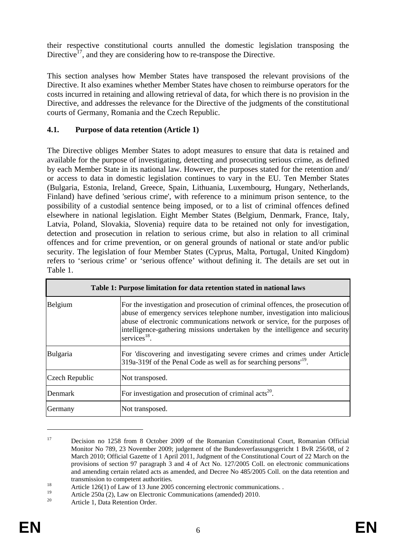their respective constitutional courts annulled the domestic legislation transposing the Directive<sup>17</sup>, and they are considering how to re-transpose the Directive.

This section analyses how Member States have transposed the relevant provisions of the Directive. It also examines whether Member States have chosen to reimburse operators for the costs incurred in retaining and allowing retrieval of data, for which there is no provision in the Directive, and addresses the relevance for the Directive of the judgments of the constitutional courts of Germany, Romania and the Czech Republic.

### **4.1. Purpose of data retention (Article 1)**

The Directive obliges Member States to adopt measures to ensure that data is retained and available for the purpose of investigating, detecting and prosecuting serious crime, as defined by each Member State in its national law. However, the purposes stated for the retention and/ or access to data in domestic legislation continues to vary in the EU. Ten Member States (Bulgaria, Estonia, Ireland, Greece, Spain, Lithuania, Luxembourg, Hungary, Netherlands, Finland) have defined 'serious crime', with reference to a minimum prison sentence, to the possibility of a custodial sentence being imposed, or to a list of criminal offences defined elsewhere in national legislation. Eight Member States (Belgium, Denmark, France, Italy, Latvia, Poland, Slovakia, Slovenia) require data to be retained not only for investigation, detection and prosecution in relation to serious crime, but also in relation to all criminal offences and for crime prevention, or on general grounds of national or state and/or public security. The legislation of four Member States (Cyprus, Malta, Portugal, United Kingdom) refers to 'serious crime' or 'serious offence' without defining it. The details are set out in Table 1.

| Table 1: Purpose limitation for data retention stated in national laws |                                                                                                                                                                                                                                                                                                                                                       |  |
|------------------------------------------------------------------------|-------------------------------------------------------------------------------------------------------------------------------------------------------------------------------------------------------------------------------------------------------------------------------------------------------------------------------------------------------|--|
| Belgium                                                                | For the investigation and prosecution of criminal offences, the prosecution of<br>abuse of emergency services telephone number, investigation into malicious<br>abuse of electronic communications network or service, for the purposes of<br>intelligence-gathering missions undertaken by the intelligence and security<br>services <sup>18</sup> . |  |
| Bulgaria                                                               | For 'discovering and investigating severe crimes and crimes under Article<br>319a-319f of the Penal Code as well as for searching persons <sup>19</sup> .                                                                                                                                                                                             |  |
| Czech Republic                                                         | Not transposed.                                                                                                                                                                                                                                                                                                                                       |  |
| Denmark                                                                | For investigation and prosecution of criminal $\arccos 20$ .                                                                                                                                                                                                                                                                                          |  |
| Germany                                                                | Not transposed.                                                                                                                                                                                                                                                                                                                                       |  |

<sup>&</sup>lt;sup>17</sup> Decision no 1258 from 8 October 2009 of the Romanian Constitutional Court, Romanian Official Monitor No 789, 23 November 2009; judgement of the Bundesverfassungsgericht 1 BvR 256/08, of 2 March 2010; Official Gazette of 1 April 2011, Judgment of the Constitutional Court of 22 March on the provisions of section 97 paragraph 3 and 4 of Act No. 127/2005 Coll. on electronic communications and amending certain related acts as amended, and Decree No 485/2005 Coll. on the data retention and

transmission to competent authorities.<br>
Article 126(1) of Law of 13 June 2005 concerning electronic communications. .

<sup>&</sup>lt;sup>19</sup> Article 250a (2), Law on Electronic Communications (amended) 2010.

Article 1, Data Retention Order.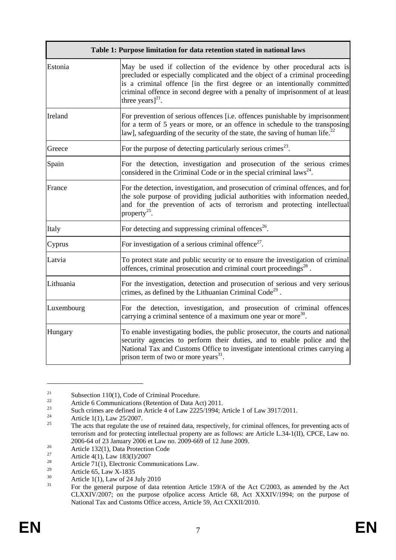|            | Table 1: Purpose limitation for data retention stated in national laws                                                                                                                                                                                                                                                                     |
|------------|--------------------------------------------------------------------------------------------------------------------------------------------------------------------------------------------------------------------------------------------------------------------------------------------------------------------------------------------|
| Estonia    | May be used if collection of the evidence by other procedural acts is<br>precluded or especially complicated and the object of a criminal proceeding<br>is a criminal offence [in the first degree or an intentionally committed<br>criminal offence in second degree with a penalty of imprisonment of at least<br>three years] $^{21}$ . |
| Ireland    | For prevention of serious offences [i.e. offences punishable by imprisonment<br>for a term of 5 years or more, or an offence in schedule to the transposing<br>law], safeguarding of the security of the state, the saving of human life.                                                                                                  |
| Greece     | For the purpose of detecting particularly serious crimes <sup>23</sup> .                                                                                                                                                                                                                                                                   |
| Spain      | For the detection, investigation and prosecution of the serious crimes<br>considered in the Criminal Code or in the special criminal $laws^{24}$ .                                                                                                                                                                                         |
| France     | For the detection, investigation, and prosecution of criminal offences, and for<br>the sole purpose of providing judicial authorities with information needed,<br>and for the prevention of acts of terrorism and protecting intellectual<br>property <sup>25</sup> .                                                                      |
| Italy      | For detecting and suppressing criminal offences <sup>26</sup> .                                                                                                                                                                                                                                                                            |
| Cyprus     | For investigation of a serious criminal offence <sup>27</sup> .                                                                                                                                                                                                                                                                            |
| Latvia     | To protect state and public security or to ensure the investigation of criminal<br>offences, criminal prosecution and criminal court proceedings <sup>28</sup> .                                                                                                                                                                           |
| Lithuania  | For the investigation, detection and prosecution of serious and very serious<br>crimes, as defined by the Lithuanian Criminal Code <sup>29</sup> .                                                                                                                                                                                         |
| Luxembourg | For the detection, investigation, and prosecution of criminal offences<br>carrying a criminal sentence of a maximum one year or more <sup>30</sup> .                                                                                                                                                                                       |
| Hungary    | To enable investigating bodies, the public prosecutor, the courts and national<br>security agencies to perform their duties, and to enable police and the<br>National Tax and Customs Office to investigate intentional crimes carrying a<br>prison term of two or more years <sup>31</sup> .                                              |

<sup>&</sup>lt;sup>21</sup> Subsection 110(1), Code of Criminal Procedure.

<sup>&</sup>lt;sup>22</sup> Article 6 Communications (Retention of Data Act) 2011.<br>Such eximps are defined in Article 4 of Law 2225/1004.

<sup>&</sup>lt;sup>23</sup><br>Such crimes are defined in Article 4 of Law 2225/1994; Article 1 of Law 3917/2011.

<sup>&</sup>lt;sup>24</sup> Article 1(1), Law 25/2007.

<sup>25</sup> The acts that regulate the use of retained data, respectively, for criminal offences, for preventing acts of terrorism and for protecting intellectual property are as follows: are Article L.34-1(II), CPCE, Law no. 2006-64 of 23 January 2006 et Law no. 2009-669 of 12 June 2009.<br>Article 132(1), Data Protection Code<br>27 Article  $4(1)$ , Law 182(1)(2007

<sup>&</sup>lt;sup>27</sup> Article 4(1), Law 183(I)/2007<br><sup>28</sup> Article 71(1) Electronic Comp

<sup>&</sup>lt;sup>28</sup> Article 71(1), Electronic Communications Law.

<sup>&</sup>lt;sup>29</sup> Article 65, Law X-1835

 $30$  Article 1(1), Law of 24 July 2010

<sup>31</sup> For the general purpose of data retention Article 159/A of the Act C/2003, as amended by the Act CLXXIV/2007; on the purpose ofpolice access Article 68, Act XXXIV/1994; on the purpose of National Tax and Customs Office access, Article 59, Act CXXII/2010.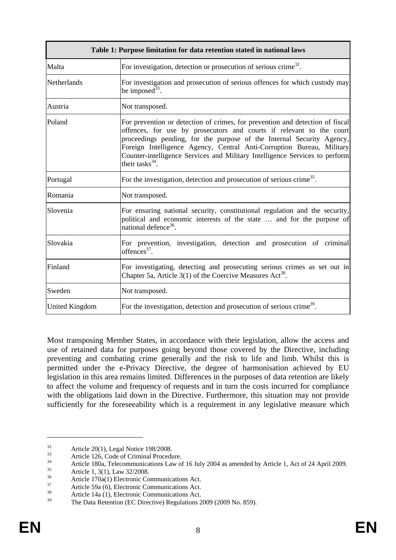| Table 1: Purpose limitation for data retention stated in national laws |                                                                                                                                                                                                                                                                                                                                                                                                                 |  |
|------------------------------------------------------------------------|-----------------------------------------------------------------------------------------------------------------------------------------------------------------------------------------------------------------------------------------------------------------------------------------------------------------------------------------------------------------------------------------------------------------|--|
| Malta                                                                  | For investigation, detection or prosecution of serious crime <sup>32</sup> .                                                                                                                                                                                                                                                                                                                                    |  |
| Netherlands                                                            | For investigation and prosecution of serious offences for which custody may<br>be imposed <sup>33</sup> .                                                                                                                                                                                                                                                                                                       |  |
| Austria                                                                | Not transposed.                                                                                                                                                                                                                                                                                                                                                                                                 |  |
| Poland                                                                 | For prevention or detection of crimes, for prevention and detection of fiscal<br>offences, for use by prosecutors and courts if relevant to the court<br>proceedings pending, for the purpose of the Internal Security Agency,<br>Foreign Intelligence Agency, Central Anti-Corruption Bureau, Military<br>Counter-intelligence Services and Military Intelligence Services to perform<br>their tasks $^{34}$ . |  |
| Portugal                                                               | For the investigation, detection and prosecution of serious crime <sup>35</sup> .                                                                                                                                                                                                                                                                                                                               |  |
| Romania                                                                | Not transposed.                                                                                                                                                                                                                                                                                                                                                                                                 |  |
| Slovenia                                                               | For ensuring national security, constitutional regulation and the security,<br>political and economic interests of the state  and for the purpose of<br>national defence <sup>36</sup> .                                                                                                                                                                                                                        |  |
| Slovakia                                                               | For prevention, investigation, detection and prosecution of criminal<br>offences $37$ .                                                                                                                                                                                                                                                                                                                         |  |
| Finland                                                                | For investigating, detecting and prosecuting serious crimes as set out in<br>Chapter 5a, Article $3(1)$ of the Coercive Measures Act <sup>38</sup> .                                                                                                                                                                                                                                                            |  |
| Sweden                                                                 | Not transposed.                                                                                                                                                                                                                                                                                                                                                                                                 |  |
| <b>United Kingdom</b>                                                  | For the investigation, detection and prosecution of serious crime <sup>39</sup> .                                                                                                                                                                                                                                                                                                                               |  |

Most transposing Member States, in accordance with their legislation, allow the access and use of retained data for purposes going beyond those covered by the Directive, including preventing and combating crime generally and the risk to life and limb. Whilst this is permitted under the e-Privacy Directive, the degree of harmonisation achieved by EU legislation in this area remains limited. Differences in the purposes of data retention are likely to affect the volume and frequency of requests and in turn the costs incurred for compliance with the obligations laid down in the Directive. Furthermore, this situation may not provide sufficiently for the foreseeability which is a requirement in any legislative measure which

<u>.</u>

 $32$  Article 20(1), Legal Notice 198/2008.

 $33$  Article 126, Code of Criminal Procedure.

<sup>34</sup> Article 180a, Telecommunications Law of 16 July 2004 as amended by Article 1, Act of 24 April 2009.<br>
36 Article 1, 3(1), Law 32/2008.

<sup>&</sup>lt;sup>36</sup> Article 170a(1) Electronic Communications Act.

<sup>&</sup>lt;sup>37</sup> Article 59a (6), Electronic Communications Act.<br>
<sup>38</sup> Article 14a (1), Electronic Communications Act.

The Data Retention (EC Directive) Regulations 2009 (2009 No. 859).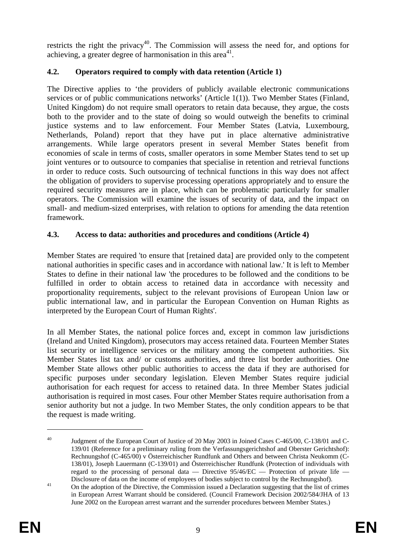restricts the right the privacy<sup>40</sup>. The Commission will assess the need for, and options for achieving, a greater degree of harmonisation in this area<sup>41</sup>.

## **4.2. Operators required to comply with data retention (Article 1)**

The Directive applies to 'the providers of publicly available electronic communications services or of public communications networks' (Article 1(1)). Two Member States (Finland, United Kingdom) do not require small operators to retain data because, they argue, the costs both to the provider and to the state of doing so would outweigh the benefits to criminal justice systems and to law enforcement. Four Member States (Latvia, Luxembourg, Netherlands, Poland) report that they have put in place alternative administrative arrangements. While large operators present in several Member States benefit from economies of scale in terms of costs, smaller operators in some Member States tend to set up joint ventures or to outsource to companies that specialise in retention and retrieval functions in order to reduce costs. Such outsourcing of technical functions in this way does not affect the obligation of providers to supervise processing operations appropriately and to ensure the required security measures are in place, which can be problematic particularly for smaller operators. The Commission will examine the issues of security of data, and the impact on small- and medium-sized enterprises, with relation to options for amending the data retention framework.

## **4.3. Access to data: authorities and procedures and conditions (Article 4)**

Member States are required 'to ensure that [retained data] are provided only to the competent national authorities in specific cases and in accordance with national law.' It is left to Member States to define in their national law 'the procedures to be followed and the conditions to be fulfilled in order to obtain access to retained data in accordance with necessity and proportionality requirements, subject to the relevant provisions of European Union law or public international law, and in particular the European Convention on Human Rights as interpreted by the European Court of Human Rights'.

In all Member States, the national police forces and, except in common law jurisdictions (Ireland and United Kingdom), prosecutors may access retained data. Fourteen Member States list security or intelligence services or the military among the competent authorities. Six Member States list tax and/ or customs authorities, and three list border authorities. One Member State allows other public authorities to access the data if they are authorised for specific purposes under secondary legislation. Eleven Member States require judicial authorisation for each request for access to retained data. In three Member States judicial authorisation is required in most cases. Four other Member States require authorisation from a senior authority but not a judge. In two Member States, the only condition appears to be that the request is made writing.

<sup>&</sup>lt;sup>40</sup> Judgment of the European Court of Justice of 20 May 2003 in Joined Cases C-465/00, C-138/01 and C-139/01 (Reference for a preliminary ruling from the Verfassungsgerichtshof and Oberster Gerichtshof): Rechnungshof (C-465/00) v Österreichischer Rundfunk and Others and between Christa Neukomm (C-138/01), Joseph Lauermann (C-139/01) and Österreichischer Rundfunk (Protection of individuals with regard to the processing of personal data — Directive  $95/46/EC$  — Protection of private life —

Disclosure of data on the income of employees of bodies subject to control by the Rechnungshof). 41 On the adoption of the Directive, the Commission issued a Declaration suggesting that the list of crimes in European Arrest Warrant should be considered. (Council Framework Decision 2002/584/JHA of 13 June 2002 on the European arrest warrant and the surrender procedures between Member States.)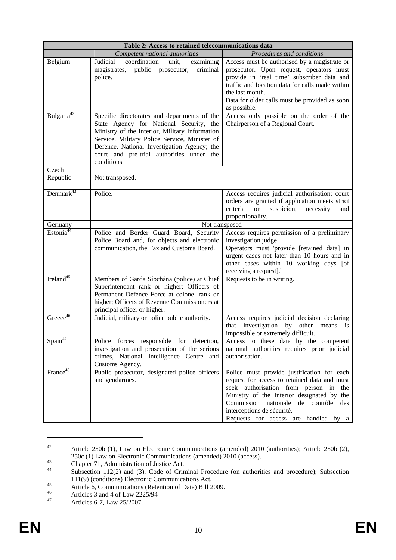| Table 2: Access to retained telecommunications data |                                                                                                                                                                                                                                                                                                       |                                                                                                                                                                                                                                                                                                    |  |
|-----------------------------------------------------|-------------------------------------------------------------------------------------------------------------------------------------------------------------------------------------------------------------------------------------------------------------------------------------------------------|----------------------------------------------------------------------------------------------------------------------------------------------------------------------------------------------------------------------------------------------------------------------------------------------------|--|
|                                                     | Competent national authorities                                                                                                                                                                                                                                                                        | Procedures and conditions                                                                                                                                                                                                                                                                          |  |
| Belgium                                             | coordination<br>Judicial<br>unit,<br>examining<br>magistrates,<br>public prosecutor,<br>criminal<br>police.                                                                                                                                                                                           | Access must be authorised by a magistrate or<br>prosecutor. Upon request, operators must<br>provide in 'real time' subscriber data and<br>traffic and location data for calls made within<br>the last month.<br>Data for older calls must be provided as soon<br>as possible.                      |  |
| Bulgaria <sup>42</sup>                              | Specific directorates and departments of the<br>State Agency for National Security, the<br>Ministry of the Interior, Military Information<br>Service, Military Police Service, Minister of<br>Defence, National Investigation Agency; the<br>court and pre-trial authorities under the<br>conditions. | Access only possible on the order of the<br>Chairperson of a Regional Court.                                                                                                                                                                                                                       |  |
| Czech<br>Republic                                   | Not transposed.                                                                                                                                                                                                                                                                                       |                                                                                                                                                                                                                                                                                                    |  |
| Demmark <sup>43</sup>                               | Police.                                                                                                                                                                                                                                                                                               | Access requires judicial authorisation; court<br>orders are granted if application meets strict<br>criteria<br>on<br>suspicion,<br>necessity<br>and<br>proportionality.                                                                                                                            |  |
| Germany                                             | Not transposed                                                                                                                                                                                                                                                                                        |                                                                                                                                                                                                                                                                                                    |  |
| Estonia <sup>44</sup>                               | Police and Border Guard Board, Security<br>Police Board and, for objects and electronic<br>communication, the Tax and Customs Board.                                                                                                                                                                  | Access requires permission of a preliminary<br>investigation judge<br>Operators must 'provide [retained data] in<br>urgent cases not later than 10 hours and in<br>other cases within 10 working days [of<br>receiving a request].'                                                                |  |
| Ireland <sup>45</sup>                               | Members of Garda Síochána (police) at Chief<br>Superintendant rank or higher; Officers of<br>Permanent Defence Force at colonel rank or<br>higher; Officers of Revenue Commissioners at<br>principal officer or higher.                                                                               | Requests to be in writing.                                                                                                                                                                                                                                                                         |  |
| Greece $46$                                         | Judicial, military or police public authority.                                                                                                                                                                                                                                                        | Access requires judicial decision declaring<br>that investigation<br>by<br>other<br>means<br>1S<br>impossible or extremely difficult.                                                                                                                                                              |  |
| Spin <sup>47</sup>                                  | Police forces responsible for detection,<br>investigation and prosecution of the serious<br>crimes, National Intelligence Centre and<br>Customs Agency.                                                                                                                                               | Access to these data by the competent<br>national authorities requires prior judicial<br>authorisation.                                                                                                                                                                                            |  |
| France <sup>48</sup>                                | Public prosecutor, designated police officers<br>and gendarmes.                                                                                                                                                                                                                                       | Police must provide justification for each<br>request for access to retained data and must<br>seek authorisation from person in the<br>Ministry of the Interior designated by the<br>Commission nationale de contrôle<br>des<br>interceptions de sécurité.<br>Requests for access are handled by a |  |

<sup>&</sup>lt;sup>42</sup> Article 250b (1), Law on Electronic Communications (amended) 2010 (authorities); Article 250b (2), 250c (1) Law on Electronic Communications (amended) 2010 (access).<br>
Chapter 71, Administration of Justice Act.<br>
Subsection 112(2) and (2) Code of Criminal Presedure (an authority

<u>.</u>

Subsection 112(2) and (3), Code of Criminal Procedure (on authorities and procedure); Subsection

<sup>111(9) (</sup>conditions) Electronic Communications Act.<br>
45 Article 6, Communications (Retention of Data) Bill 2009.<br>
46 Articles 2 and 4 of Law 2225/04

 $46$ <br>Articles 3 and 4 of Law 2225/94<br>Articles 6.7 J aw 25/2007

Articles 6-7, Law 25/2007.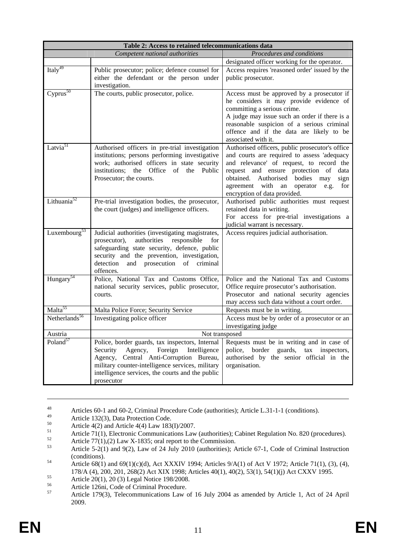| Table 2: Access to retained telecommunications data |                                                                                                                                                                                                                                                                        |                                                                                                                                                                                                                                                                                                                      |  |
|-----------------------------------------------------|------------------------------------------------------------------------------------------------------------------------------------------------------------------------------------------------------------------------------------------------------------------------|----------------------------------------------------------------------------------------------------------------------------------------------------------------------------------------------------------------------------------------------------------------------------------------------------------------------|--|
|                                                     | Competent national authorities                                                                                                                                                                                                                                         | Procedures and conditions                                                                                                                                                                                                                                                                                            |  |
|                                                     |                                                                                                                                                                                                                                                                        | designated officer working for the operator.                                                                                                                                                                                                                                                                         |  |
| Italy <sup>49</sup>                                 | Public prosecutor; police; defence counsel for                                                                                                                                                                                                                         | Access requires 'reasoned order' issued by the                                                                                                                                                                                                                                                                       |  |
|                                                     | either the defendant or the person under                                                                                                                                                                                                                               | public prosecutor.                                                                                                                                                                                                                                                                                                   |  |
|                                                     | investigation.                                                                                                                                                                                                                                                         |                                                                                                                                                                                                                                                                                                                      |  |
| $Cyprus^{50}$                                       | The courts, public prosecutor, police.                                                                                                                                                                                                                                 | Access must be approved by a prosecutor if<br>he considers it may provide evidence of<br>committing a serious crime.<br>A judge may issue such an order if there is a<br>reasonable suspicion of a serious criminal                                                                                                  |  |
|                                                     |                                                                                                                                                                                                                                                                        | offence and if the data are likely to be<br>associated with it.                                                                                                                                                                                                                                                      |  |
| Latvia <sup>51</sup>                                | Authorised officers in pre-trial investigation<br>institutions; persons performing investigative<br>work; authorised officers in state security<br>Office<br>of<br>institutions:<br>the<br>the<br>Public<br>Prosecutor; the courts.                                    | Authorised officers, public prosecutor's office<br>and courts are required to assess 'adequacy<br>and relevance' of request, to record the<br>request and ensure protection of<br>data<br>obtained. Authorised bodies<br>may<br>sign<br>agreement with an<br>operator<br>e.g.<br>for<br>encryption of data provided. |  |
| Lithuania <sup>52</sup>                             | Pre-trial investigation bodies, the prosecutor,<br>the court (judges) and intelligence officers.                                                                                                                                                                       | Authorised public authorities must request<br>retained data in writing.<br>For access for pre-trial investigations a<br>judicial warrant is necessary.                                                                                                                                                               |  |
| Luxembourg <sup>53</sup>                            | Judicial authorities (investigating magistrates,<br>authorities<br>responsible<br>prosecutor),<br>for<br>safeguarding state security, defence, public<br>security and the prevention, investigation,<br>detection<br>prosecution<br>and<br>of<br>criminal<br>offences. | Access requires judicial authorisation.                                                                                                                                                                                                                                                                              |  |
| Hungary <sup>54</sup>                               | Police, National Tax and Customs Office,<br>national security services, public prosecutor,<br>courts.                                                                                                                                                                  | Police and the National Tax and Customs<br>Office require prosecutor's authorisation.<br>Prosecutor and national security agencies<br>may access such data without a court order.                                                                                                                                    |  |
| Malta <sup>55</sup>                                 | Malta Police Force; Security Service                                                                                                                                                                                                                                   | Requests must be in writing.                                                                                                                                                                                                                                                                                         |  |
| Netherlands <sup>56</sup>                           | Investigating police officer                                                                                                                                                                                                                                           | Access must be by order of a prosecutor or an<br>investigating judge                                                                                                                                                                                                                                                 |  |
| Austria                                             | Not transposed                                                                                                                                                                                                                                                         |                                                                                                                                                                                                                                                                                                                      |  |
| Poland <sup>57</sup>                                | Police, border guards, tax inspectors, Internal                                                                                                                                                                                                                        | Requests must be in writing and in case of                                                                                                                                                                                                                                                                           |  |
|                                                     | Agency,<br>Security<br>Foreign<br>Intelligence                                                                                                                                                                                                                         | police, border guards, tax inspectors,                                                                                                                                                                                                                                                                               |  |
|                                                     | Agency, Central Anti-Corruption Bureau,                                                                                                                                                                                                                                | authorised by the senior official in the                                                                                                                                                                                                                                                                             |  |
|                                                     | military counter-intelligence services, military<br>intelligence services, the courts and the public                                                                                                                                                                   | organisation.                                                                                                                                                                                                                                                                                                        |  |
|                                                     | prosecutor                                                                                                                                                                                                                                                             |                                                                                                                                                                                                                                                                                                                      |  |
|                                                     |                                                                                                                                                                                                                                                                        |                                                                                                                                                                                                                                                                                                                      |  |

<sup>48</sup> Articles 60-1 and 60-2, Criminal Procedure Code (authorities); Article L.31-1-1 (conditions).

- <sup>50</sup> Article 4(2) and Article 4(4) Law 183(I)/2007.<br>Article 71(1) Electronic Communications Law
- 51 Article 71(1), Electronic Communications Law (authorities); Cabinet Regulation No. 820 (procedures).<br>
Article 77(1),(2) Law X-1835; oral report to the Commission.<br>  $\frac{53}{2}$  Article 5.2(1) and 0(2) Law of 24 July 2010
- 

<sup>49</sup> Article 132(3), Data Protection Code.<br>50 Article 4(3) and Article 4(4) Law 182

Article 5-2(1) and 9(2), Law of 24 July 2010 (authorities); Article 67-1, Code of Criminal Instruction

<sup>(</sup>conditions).<br>  $54$  Article 68(1) and 69(1)(c)(d), Act XXXIV 1994; Articles 9/A(1) of Act V 1972; Article 71(1), (3), (4), 178/A (4), 200, 201, 268(2) Act XIX 1998; Articles 40(1), 40(2), 53(1), 54(1)(j) Act CXXV 1995.<br>
Article 20(1), 20 (3) Legal Notice 198/2008.<br>
Article 126pi, Code of Criminal Procedure.

<sup>&</sup>lt;sup>56</sup><br>Article 126ni, Code of Criminal Procedure.<br>Article 170(2). Talgoammunications Lewis

<sup>57</sup> Article 179(3), Telecommunications Law of 16 July 2004 as amended by Article 1, Act of 24 April 2009.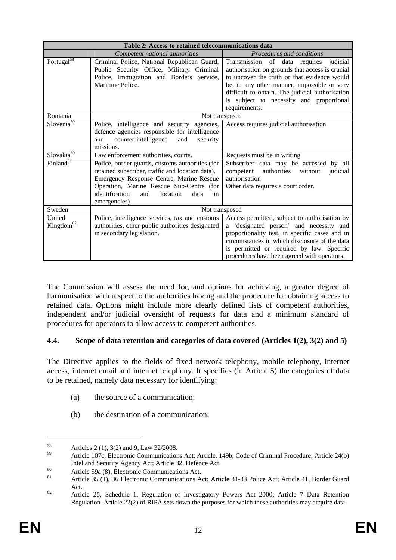| Table 2: Access to retained telecommunications data |                                                                                                                                                                                                                                                                |                                                                                                                                                                                                                                                                                                               |  |
|-----------------------------------------------------|----------------------------------------------------------------------------------------------------------------------------------------------------------------------------------------------------------------------------------------------------------------|---------------------------------------------------------------------------------------------------------------------------------------------------------------------------------------------------------------------------------------------------------------------------------------------------------------|--|
|                                                     | Competent national authorities                                                                                                                                                                                                                                 | Procedures and conditions                                                                                                                                                                                                                                                                                     |  |
| Portugal <sup>58</sup>                              | Criminal Police, National Republican Guard,<br>Public Security Office, Military Criminal<br>Police, Immigration and Borders Service,<br>Maritime Police.                                                                                                       | Transmission of data requires<br>judicial<br>authorisation on grounds that access is crucial<br>to uncover the truth or that evidence would<br>be, in any other manner, impossible or very<br>difficult to obtain. The judicial authorisation<br>subject to necessity and proportional<br>is<br>requirements. |  |
| Romania                                             | Not transposed                                                                                                                                                                                                                                                 |                                                                                                                                                                                                                                                                                                               |  |
| Slovenia <sup>59</sup>                              | Police, intelligence and security agencies,<br>defence agencies responsible for intelligence<br>counter-intelligence<br>and<br>and<br>security<br>missions.                                                                                                    | Access requires judicial authorisation.                                                                                                                                                                                                                                                                       |  |
| $Slovakia^{60}$                                     | Law enforcement authorities, courts.                                                                                                                                                                                                                           | Requests must be in writing.                                                                                                                                                                                                                                                                                  |  |
| Finland <sup>61</sup>                               | Police, border guards, customs authorities (for<br>retained subscriber, traffic and location data).<br>Emergency Response Centre, Marine Rescue<br>Operation, Marine Rescue Sub-Centre (for<br>identification<br>and<br>location<br>data<br>in<br>emergencies) | Subscriber data may be accessed by all<br>competent<br>authorities<br>without<br>judicial<br>authorisation<br>Other data requires a court order.                                                                                                                                                              |  |
| Sweden                                              | Not transposed                                                                                                                                                                                                                                                 |                                                                                                                                                                                                                                                                                                               |  |
| United<br>Kingdom <sup>62</sup>                     | Police, intelligence services, tax and customs<br>authorities, other public authorities designated<br>in secondary legislation.                                                                                                                                | Access permitted, subject to authorisation by<br>a 'designated person' and necessity and<br>proportionality test, in specific cases and in<br>circumstances in which disclosure of the data<br>is permitted or required by law. Specific<br>procedures have been agreed with operators.                       |  |

The Commission will assess the need for, and options for achieving, a greater degree of harmonisation with respect to the authorities having and the procedure for obtaining access to retained data. Options might include more clearly defined lists of competent authorities, independent and/or judicial oversight of requests for data and a minimum standard of procedures for operators to allow access to competent authorities.

## **4.4. Scope of data retention and categories of data covered (Articles 1(2), 3(2) and 5)**

The Directive applies to the fields of fixed network telephony, mobile telephony, internet access, internet email and internet telephony. It specifies (in Article 5) the categories of data to be retained, namely data necessary for identifying:

- (a) the source of a communication;
- (b) the destination of a communication;

<u>.</u>

 $58$  Articles 2 (1), 3(2) and 9, Law 32/2008.

<sup>59</sup> Article 107c, Electronic Communications Act; Article. 149b, Code of Criminal Procedure; Article 24(b) Intel and Security Agency Act; Article 32, Defence Act.<br>
60 Article 59a (8), Electronic Communications Act; Article 31-33 Police Act; Article 41, Border Guard<br>
61 Article 35 (1), 36 Electronic Communications Act; Article 3

Act.<br><sup>62</sup> Article 25, Schedule 1, Regulation of Investigatory Powers Act 2000; Article 7 Data Retention

Regulation. Article 22(2) of RIPA sets down the purposes for which these authorities may acquire data.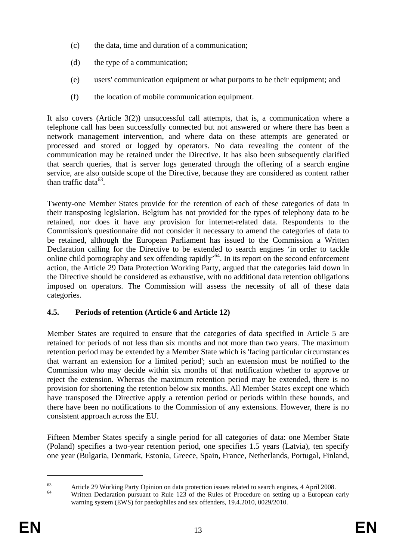- (c) the data, time and duration of a communication;
- (d) the type of a communication;
- (e) users' communication equipment or what purports to be their equipment; and
- (f) the location of mobile communication equipment.

It also covers (Article 3(2)) unsuccessful call attempts, that is, a communication where a telephone call has been successfully connected but not answered or where there has been a network management intervention, and where data on these attempts are generated or processed and stored or logged by operators. No data revealing the content of the communication may be retained under the Directive. It has also been subsequently clarified that search queries, that is server logs generated through the offering of a search engine service, are also outside scope of the Directive, because they are considered as content rather than traffic data $^{63}$ .

Twenty-one Member States provide for the retention of each of these categories of data in their transposing legislation. Belgium has not provided for the types of telephony data to be retained, nor does it have any provision for internet-related data. Respondents to the Commission's questionnaire did not consider it necessary to amend the categories of data to be retained, although the European Parliament has issued to the Commission a Written Declaration calling for the Directive to be extended to search engines 'in order to tackle online child pornography and sex offending rapidly'64. In its report on the second enforcement action, the Article 29 Data Protection Working Party, argued that the categories laid down in the Directive should be considered as exhaustive, with no additional data retention obligations imposed on operators. The Commission will assess the necessity of all of these data categories.

# **4.5. Periods of retention (Article 6 and Article 12)**

Member States are required to ensure that the categories of data specified in Article 5 are retained for periods of not less than six months and not more than two years. The maximum retention period may be extended by a Member State which is 'facing particular circumstances that warrant an extension for a limited period'; such an extension must be notified to the Commission who may decide within six months of that notification whether to approve or reject the extension. Whereas the maximum retention period may be extended, there is no provision for shortening the retention below six months. All Member States except one which have transposed the Directive apply a retention period or periods within these bounds, and there have been no notifications to the Commission of any extensions. However, there is no consistent approach across the EU.

Fifteen Member States specify a single period for all categories of data: one Member State (Poland) specifies a two-year retention period, one specifies 1.5 years (Latvia), ten specify one year (Bulgaria, Denmark, Estonia, Greece, Spain, France, Netherlands, Portugal, Finland,

<sup>&</sup>lt;sup>63</sup><br><sup>64</sup> Article 29 Working Party Opinion on data protection issues related to search engines, 4 April 2008.<br>Written Declaration pursuant to Rule 123 of the Rules of Procedure on setting up a European early

warning system (EWS) for paedophiles and sex offenders, 19.4.2010, 0029/2010.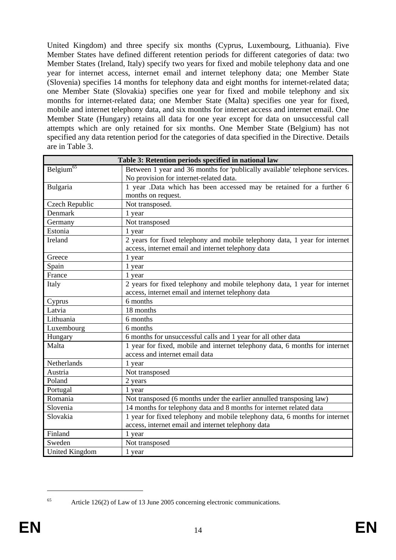United Kingdom) and three specify six months (Cyprus, Luxembourg, Lithuania). Five Member States have defined different retention periods for different categories of data: two Member States (Ireland, Italy) specify two years for fixed and mobile telephony data and one year for internet access, internet email and internet telephony data; one Member State (Slovenia) specifies 14 months for telephony data and eight months for internet-related data; one Member State (Slovakia) specifies one year for fixed and mobile telephony and six months for internet-related data; one Member State (Malta) specifies one year for fixed, mobile and internet telephony data, and six months for internet access and internet email. One Member State (Hungary) retains all data for one year except for data on unsuccessful call attempts which are only retained for six months. One Member State (Belgium) has not specified any data retention period for the categories of data specified in the Directive. Details are in Table 3.

|                                               | Table 3: Retention periods specified in national law                        |  |
|-----------------------------------------------|-----------------------------------------------------------------------------|--|
| Belgium <sup><math>6\overline{5}</math></sup> | Between 1 year and 36 months for 'publically available' telephone services. |  |
|                                               | No provision for internet-related data.                                     |  |
| Bulgaria                                      | 1 year .Data which has been accessed may be retained for a further 6        |  |
|                                               | months on request.                                                          |  |
| Czech Republic                                | Not transposed.                                                             |  |
| Denmark                                       | 1 year                                                                      |  |
| Germany                                       | Not transposed                                                              |  |
| Estonia                                       | 1 year                                                                      |  |
| Ireland                                       | 2 years for fixed telephony and mobile telephony data, 1 year for internet  |  |
|                                               | access, internet email and internet telephony data                          |  |
| Greece                                        | 1 year                                                                      |  |
| Spain                                         | 1 year                                                                      |  |
| France                                        | 1 year                                                                      |  |
| Italy                                         | 2 years for fixed telephony and mobile telephony data, 1 year for internet  |  |
|                                               | access, internet email and internet telephony data                          |  |
| Cyprus                                        | 6 months                                                                    |  |
| Latvia                                        | 18 months                                                                   |  |
| Lithuania                                     | 6 months                                                                    |  |
| Luxembourg                                    | 6 months                                                                    |  |
| Hungary                                       | 6 months for unsuccessful calls and 1 year for all other data               |  |
| Malta                                         | 1 year for fixed, mobile and internet telephony data, 6 months for internet |  |
|                                               | access and internet email data                                              |  |
| Netherlands                                   | 1 year                                                                      |  |
| Austria                                       | Not transposed                                                              |  |
| Poland                                        | 2 years                                                                     |  |
| Portugal                                      | 1 year                                                                      |  |
| Romania                                       | Not transposed (6 months under the earlier annulled transposing law)        |  |
| Slovenia                                      | 14 months for telephony data and 8 months for internet related data         |  |
| Slovakia                                      | 1 year for fixed telephony and mobile telephony data, 6 months for internet |  |
|                                               | access, internet email and internet telephony data                          |  |
| Finland                                       | 1 year                                                                      |  |
| Sweden                                        | Not transposed                                                              |  |
| <b>United Kingdom</b>                         | 1 year                                                                      |  |

<sup>1</sup> 

<sup>65</sup> Article 126(2) of Law of 13 June 2005 concerning electronic communications.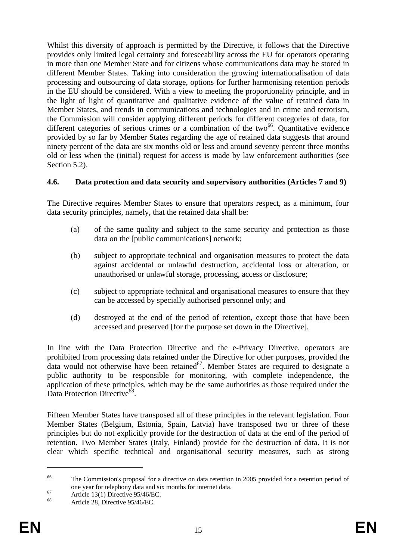Whilst this diversity of approach is permitted by the Directive, it follows that the Directive provides only limited legal certainty and foreseeability across the EU for operators operating in more than one Member State and for citizens whose communications data may be stored in different Member States. Taking into consideration the growing internationalisation of data processing and outsourcing of data storage, options for further harmonising retention periods in the EU should be considered. With a view to meeting the proportionality principle, and in the light of light of quantitative and qualitative evidence of the value of retained data in Member States, and trends in communications and technologies and in crime and terrorism, the Commission will consider applying different periods for different categories of data, for different categories of serious crimes or a combination of the two<sup>66</sup>. Quantitative evidence provided by so far by Member States regarding the age of retained data suggests that around ninety percent of the data are six months old or less and around seventy percent three months old or less when the (initial) request for access is made by law enforcement authorities (see Section 5.2).

## **4.6. Data protection and data security and supervisory authorities (Articles 7 and 9)**

The Directive requires Member States to ensure that operators respect, as a minimum, four data security principles, namely, that the retained data shall be:

- (a) of the same quality and subject to the same security and protection as those data on the [public communications] network;
- (b) subject to appropriate technical and organisation measures to protect the data against accidental or unlawful destruction, accidental loss or alteration, or unauthorised or unlawful storage, processing, access or disclosure;
- (c) subject to appropriate technical and organisational measures to ensure that they can be accessed by specially authorised personnel only; and
- (d) destroyed at the end of the period of retention, except those that have been accessed and preserved [for the purpose set down in the Directive].

In line with the Data Protection Directive and the e-Privacy Directive, operators are prohibited from processing data retained under the Directive for other purposes, provided the data would not otherwise have been retained<sup>67</sup>. Member States are required to designate a public authority to be responsible for monitoring, with complete independence, the application of these principles, which may be the same authorities as those required under the Data Protection Directive<sup>68</sup>.

Fifteen Member States have transposed all of these principles in the relevant legislation. Four Member States (Belgium, Estonia, Spain, Latvia) have transposed two or three of these principles but do not explicitly provide for the destruction of data at the end of the period of retention. Two Member States (Italy, Finland) provide for the destruction of data. It is not clear which specific technical and organisational security measures, such as strong

<sup>&</sup>lt;sup>66</sup> The Commission's proposal for a directive on data retention in 2005 provided for a retention period of one year for telephony data and six months for internet data.<br>Article 13(1) Directive 95/46/EC.<br><sup>68</sup> Article 28. Nieutice 05/46/EG.

Article 28, Directive 95/46/EC.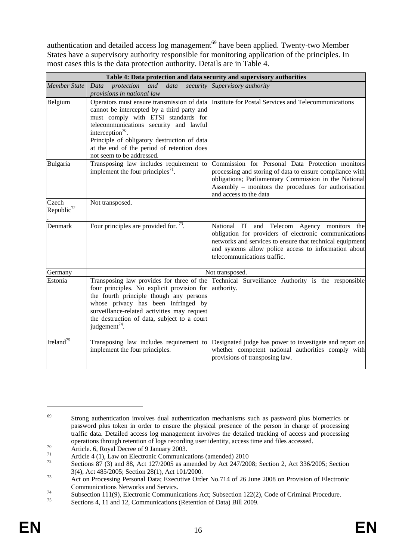authentication and detailed access log management<sup>69</sup> have been applied. Twenty-two Member States have a supervisory authority responsible for monitoring application of the principles. In most cases this is the data protection authority. Details are in Table 4.

|                                 | Table 4: Data protection and data security and supervisory authorities                                                                                                                                                                                                                               |                                                                                                                                                                                                                                                         |  |  |  |
|---------------------------------|------------------------------------------------------------------------------------------------------------------------------------------------------------------------------------------------------------------------------------------------------------------------------------------------------|---------------------------------------------------------------------------------------------------------------------------------------------------------------------------------------------------------------------------------------------------------|--|--|--|
| <b>Member State</b>             | and<br>data<br>Data protection<br>provisions in national law                                                                                                                                                                                                                                         | security Supervisory authority                                                                                                                                                                                                                          |  |  |  |
| Belgium                         | cannot be intercepted by a third party and<br>must comply with ETSI standards for<br>telecommunications security and lawful<br>interception <sup>70</sup> .<br>Principle of obligatory destruction of data<br>at the end of the period of retention does<br>not seem to be addressed.                | Operators must ensure transmission of data Institute for Postal Services and Telecommunications                                                                                                                                                         |  |  |  |
| Bulgaria                        | Transposing law includes requirement to<br>implement the four principles <sup>71</sup> .                                                                                                                                                                                                             | Commission for Personal Data Protection monitors<br>processing and storing of data to ensure compliance with<br>obligations; Parliamentary Commission in the National<br>Assembly – monitors the procedures for authorisation<br>and access to the data |  |  |  |
| Czech<br>Republic <sup>72</sup> | Not transposed.                                                                                                                                                                                                                                                                                      |                                                                                                                                                                                                                                                         |  |  |  |
| Denmark                         | Four principles are provided for. $^{73}$ .                                                                                                                                                                                                                                                          | National IT and Telecom Agency monitors the<br>obligation for providers of electronic communications<br>networks and services to ensure that technical equipment<br>and systems allow police access to information about<br>telecommunications traffic. |  |  |  |
| Germany                         | Not transposed.                                                                                                                                                                                                                                                                                      |                                                                                                                                                                                                                                                         |  |  |  |
| Estonia                         | Transposing law provides for three of the<br>four principles. No explicit provision for<br>the fourth principle though any persons<br>whose privacy has been infringed by<br>surveillance-related activities may request<br>the destruction of data, subject to a court<br>judgement <sup>74</sup> . | Technical Surveillance Authority is the responsible<br>authority.                                                                                                                                                                                       |  |  |  |
| Ireland <sup>75</sup>           | Transposing law includes requirement to<br>implement the four principles.                                                                                                                                                                                                                            | Designated judge has power to investigate and report on<br>whether competent national authorities comply with<br>provisions of transposing law.                                                                                                         |  |  |  |

<sup>&</sup>lt;sup>69</sup> Strong authentication involves dual authentication mechanisms such as password plus biometrics or password plus token in order to ensure the physical presence of the person in charge of processing traffic data. Detailed access log management involves the detailed tracking of access and processing operations through retention of logs recording user identity, access time and files accessed.<br>Article. 6, Royal Decree of 9 January 2003.

<sup>&</sup>lt;sup>71</sup> Article 4 (1), Law on Electronic Communications (amended) 2010

Sections 87 (3) and 88, Act 127/2005 as amended by Act 247/2008; Section 2, Act 336/2005; Section 3(4), Act 485/2005; Section 28(1), Act 101/2000.<br>Act on Processing Personal Data; Executive Order No.714 of 26 June 2008 on Provision of Electronic

The Communications Networks and Servics.<br>
Subsection 111(9), Electronic Communications Act; Subsection 122(2), Code of Criminal Procedure.<br>
Sections 4, 11 and 12 Communications (Determine fi Dete) Bill 2000.

Sections 4, 11 and 12, Communications (Retention of Data) Bill 2009.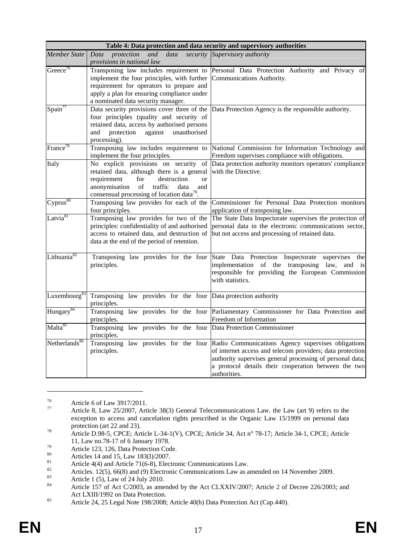| Table 4: Data protection and data security and supervisory authorities |                                                                                                                                                                                                                                                      |                                                                                                                                                                                                                                                                                            |  |
|------------------------------------------------------------------------|------------------------------------------------------------------------------------------------------------------------------------------------------------------------------------------------------------------------------------------------------|--------------------------------------------------------------------------------------------------------------------------------------------------------------------------------------------------------------------------------------------------------------------------------------------|--|
| <b>Member State</b>                                                    | Data<br>protection<br>data<br>and<br>provisions in national law                                                                                                                                                                                      | security Supervisory authority                                                                                                                                                                                                                                                             |  |
| Greece <sup>76</sup>                                                   | Transposing law includes requirement to<br>implement the four principles, with further<br>requirement for operators to prepare and<br>apply a plan for ensuring compliance under<br>a nominated data security manager.                               | Personal Data Protection Authority and Privacy of<br>Communications Authority.                                                                                                                                                                                                             |  |
| Span <sup>77</sup>                                                     | Data security provisions cover three of the<br>four principles (quality and security of<br>retained data, access by authorised persons<br>and<br>protection<br>against<br>unauthorised<br>processing).                                               | Data Protection Agency is the responsible authority.                                                                                                                                                                                                                                       |  |
| France <sup>78</sup>                                                   | Transposing law includes requirement to<br>implement the four principles.                                                                                                                                                                            | National Commission for Information Technology and<br>Freedom supervises compliance with obligations.                                                                                                                                                                                      |  |
| Italy                                                                  | No explicit provisions on security of<br>retained data, although there is a general<br>destruction<br>requirement<br>for<br><sub>or</sub><br>traffic<br>anonymisation<br>of<br>data<br>and<br>consensual processing of location data <sup>79</sup> . | Data protection authority monitors operators' compliance<br>with the Directive.                                                                                                                                                                                                            |  |
| Cyprus <sup>80</sup>                                                   | Transposing law provides for each of the<br>four principles.                                                                                                                                                                                         | Commissioner for Personal Data Protection monitors<br>application of transposing law.                                                                                                                                                                                                      |  |
| Latvia <sup>81</sup>                                                   | Transposing law provides for two of the<br>principles: confidentiality of and authorised<br>access to retained data, and destruction of<br>data at the end of the period of retention.                                                               | The State Data Inspectorate supervises the protection of<br>personal data in the electronic communications sector,<br>but not access and processing of retained data.                                                                                                                      |  |
| Lithuania <sup>82</sup>                                                | Transposing law provides for the four<br>principles.                                                                                                                                                                                                 | State Data Protection Inspectorate supervises<br>the<br>implementation of the transposing law, and is<br>responsible for providing the European Commission<br>with statistics.                                                                                                             |  |
| Luxembourg <sup>83</sup>                                               | Transposing law provides for the four Data protection authority<br>principles.                                                                                                                                                                       |                                                                                                                                                                                                                                                                                            |  |
| Hungary <sup>84</sup>                                                  | principles.                                                                                                                                                                                                                                          | Transposing law provides for the four Parliamentary Commissioner for Data Protection and<br>Freedom of Information                                                                                                                                                                         |  |
| Malta <sup>85</sup>                                                    | Transposing law provides for the four Data Protection Commissioner<br>principles.                                                                                                                                                                    |                                                                                                                                                                                                                                                                                            |  |
| Netherlands <sup>86</sup>                                              | principles.                                                                                                                                                                                                                                          | Transposing law provides for the four Radio Communications Agency supervises obligations<br>of internet access and telecom providers; data protection<br>authority supervises general processing of personal data;<br>a protocol details their cooperation between the two<br>authorities. |  |

<sup>&</sup>lt;sup>76</sup> Article 6 of Law 3917/2011.

<u>.</u>

Article 8, Law 25/2007, Article 38(3) General Telecommunications Law. the Law (art 9) refers to the exception to access and cancelation rights prescribed in the Organic Law 15/1999 on personal data

protection (art 22 and 23).<br>
Article D.98-5, CPCE; Article L-34-1(V), CPCE; Article 34, Act n° 78-17; Article 34-1, CPCE; Article<br>
11, Law no.78-17 of 6 January 1978.

 $11, 240$  no.18-17 of 6 January 1978.<br>Article 123, 126, Data Protection Code.

<sup>&</sup>lt;sup>80</sup> Articles 14 and 15, Law 183(I)/2007.

<sup>81</sup> Article 4(4) and Article 71(6-8), Electronic Communications Law.<br>
82 Articles. 12(5), 66(8) and (9) Electronic Communications Law as amended on 14 November 2009.

<sup>&</sup>lt;sup>83</sup><br>Article 1 (5), Law of 24 July 2010.

Article 157 of Act C/2003, as amended by the Act CLXXIV/2007; Article 2 of Decree 226/2003; and

<sup>85</sup> Act LXIII/1992 on Data Protection.<br>85 Article 24, 25 Legal Note 198/2008; Article 40(b) Data Protection Act (Cap.440).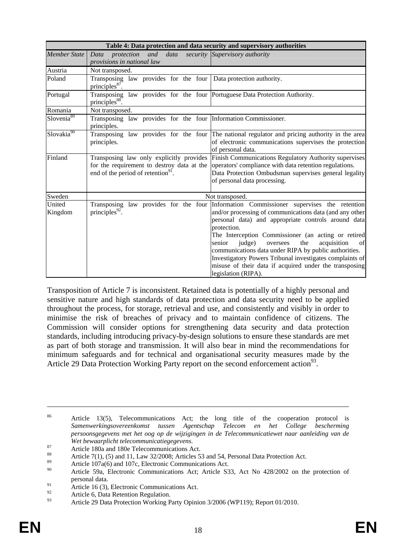|                        | Table 4: Data protection and data security and supervisory authorities                                                                   |                                                                                                                                                                                                                                                                                                                                                                                                                                                                                                             |  |  |
|------------------------|------------------------------------------------------------------------------------------------------------------------------------------|-------------------------------------------------------------------------------------------------------------------------------------------------------------------------------------------------------------------------------------------------------------------------------------------------------------------------------------------------------------------------------------------------------------------------------------------------------------------------------------------------------------|--|--|
| <b>Member State</b>    | Data<br>and<br>data<br>protection<br>provisions in national law                                                                          | security Supervisory authority                                                                                                                                                                                                                                                                                                                                                                                                                                                                              |  |  |
| Austria                | Not transposed.                                                                                                                          |                                                                                                                                                                                                                                                                                                                                                                                                                                                                                                             |  |  |
| Poland                 | Transposing law provides for the four Data protection authority.<br>principles $87$ .                                                    |                                                                                                                                                                                                                                                                                                                                                                                                                                                                                                             |  |  |
| Portugal               | Transposing law provides for the four Portuguese Data Protection Authority.<br>principles <sup>88</sup> .                                |                                                                                                                                                                                                                                                                                                                                                                                                                                                                                                             |  |  |
| Romania                | Not transposed.                                                                                                                          |                                                                                                                                                                                                                                                                                                                                                                                                                                                                                                             |  |  |
| Slovenia <sup>89</sup> | Transposing law provides for the four Information Commissioner.<br>principles.                                                           |                                                                                                                                                                                                                                                                                                                                                                                                                                                                                                             |  |  |
| Slovakia <sup>90</sup> | principles.                                                                                                                              | Transposing law provides for the four The national regulator and pricing authority in the area<br>of electronic communications supervises the protection<br>of personal data.                                                                                                                                                                                                                                                                                                                               |  |  |
| Finland                | Transposing law only explicitly provides<br>for the requirement to destroy data at the<br>end of the period of retention <sup>91</sup> . | Finish Communications Regulatory Authority supervises<br>operators' compliance with data retention regulations.<br>Data Protection Ombudsman supervises general legality<br>of personal data processing.                                                                                                                                                                                                                                                                                                    |  |  |
| Sweden                 |                                                                                                                                          | Not transposed.                                                                                                                                                                                                                                                                                                                                                                                                                                                                                             |  |  |
| United<br>Kingdom      | Transposing law provides for the four<br>principles $^{92}$ .                                                                            | Information Commissioner supervises the retention<br>and/or processing of communications data (and any other<br>personal data) and appropriate controls around data<br>protection.<br>The Interception Commissioner (an acting or retired<br>judge)<br>acquisition<br>senior<br>the<br>of<br>oversees<br>communications data under RIPA by public authorities.<br>Investigatory Powers Tribunal investigates complaints of<br>misuse of their data if acquired under the transposing<br>legislation (RIPA). |  |  |

Transposition of Article 7 is inconsistent. Retained data is potentially of a highly personal and sensitive nature and high standards of data protection and data security need to be applied throughout the process, for storage, retrieval and use, and consistently and visibly in order to minimise the risk of breaches of privacy and to maintain confidence of citizens. The Commission will consider options for strengthening data security and data protection standards, including introducing privacy-by-design solutions to ensure these standards are met as part of both storage and transmission. It will also bear in mind the recommendations for minimum safeguards and for technical and organisational security measures made by the Article 29 Data Protection Working Party report on the second enforcement action<sup>93</sup>.

<sup>&</sup>lt;sup>86</sup> Article 13(5), Telecommunications Act; the long title of the cooperation protocol is *Samenwerkingsovereenkomst tussen Agentschap Telecom en het College bescherming persoonsgegevens met het oog op de wijzigingen in de Telecommunicatiewet naar aanleiding van de* 

*Wet bewaarplicht telecommunicatiegegevens.*<br>
Article 180a and 180e Telecommunications Act.<br>
<sup>88</sup>

<sup>&</sup>lt;sup>88</sup> Article 7(1), (5) and 11, Law 32/2008; Articles 53 and 54, Personal Data Protection Act.

<sup>&</sup>lt;sup>89</sup> Article 107a(6) and 107c, Electronic Communications Act.

Article 59a, Electronic Communications Act; Article S33, Act No 428/2002 on the protection of personal data.

<sup>&</sup>lt;sup>91</sup> Article 16 (3), Electronic Communications Act.

 $^{92}$  Article 6, Data Retention Regulation.

Article 29 Data Protection Working Party Opinion 3/2006 (WP119); Report 01/2010.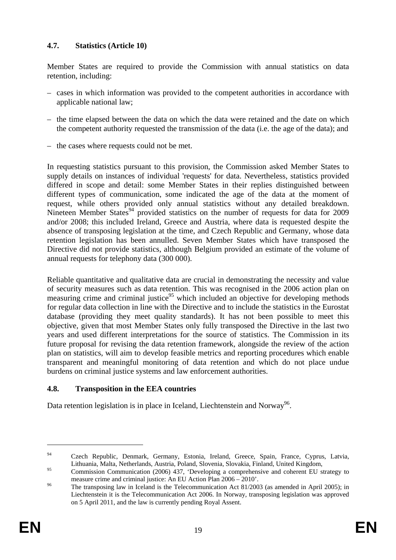## **4.7. Statistics (Article 10)**

Member States are required to provide the Commission with annual statistics on data retention, including:

- cases in which information was provided to the competent authorities in accordance with applicable national law;
- the time elapsed between the data on which the data were retained and the date on which the competent authority requested the transmission of the data (i.e. the age of the data); and
- the cases where requests could not be met.

In requesting statistics pursuant to this provision, the Commission asked Member States to supply details on instances of individual 'requests' for data. Nevertheless, statistics provided differed in scope and detail: some Member States in their replies distinguished between different types of communication, some indicated the age of the data at the moment of request, while others provided only annual statistics without any detailed breakdown. Nineteen Member States<sup>94</sup> provided statistics on the number of requests for data for 2009 and/or 2008; this included Ireland, Greece and Austria, where data is requested despite the absence of transposing legislation at the time, and Czech Republic and Germany, whose data retention legislation has been annulled. Seven Member States which have transposed the Directive did not provide statistics, although Belgium provided an estimate of the volume of annual requests for telephony data (300 000).

Reliable quantitative and qualitative data are crucial in demonstrating the necessity and value of security measures such as data retention. This was recognised in the 2006 action plan on measuring crime and criminal justice<sup>95</sup> which included an objective for developing methods for regular data collection in line with the Directive and to include the statistics in the Eurostat database (providing they meet quality standards). It has not been possible to meet this objective, given that most Member States only fully transposed the Directive in the last two years and used different interpretations for the source of statistics. The Commission in its future proposal for revising the data retention framework, alongside the review of the action plan on statistics, will aim to develop feasible metrics and reporting procedures which enable transparent and meaningful monitoring of data retention and which do not place undue burdens on criminal justice systems and law enforcement authorities.

## **4.8. Transposition in the EEA countries**

Data retention legislation is in place in Iceland, Liechtenstein and Norway<sup>96</sup>.

<sup>&</sup>lt;sup>94</sup> Czech Republic, Denmark, Germany, Estonia, Ireland, Greece, Spain, France, Cyprus, Latvia, Lithuania, Malta, Netherlands, Austria, Poland, Slovenia, Slovakia, Finland, United Kingdom,

<sup>&</sup>lt;sup>95</sup> Commission Communication (2006) 437, 'Developing a comprehensive and coherent EU strategy to

measure crime and criminal justice: An EU Action Plan  $2006 - 2010$ '.<br><sup>96</sup> The transposing law in Iceland is the Telecommunication Act 81/2003 (as amended in April 2005); in Liechtenstein it is the Telecommunication Act 2006. In Norway, transposing legislation was approved on 5 April 2011, and the law is currently pending Royal Assent.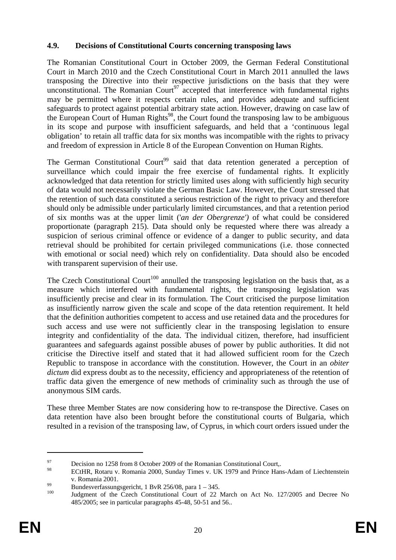### **4.9. Decisions of Constitutional Courts concerning transposing laws**

The Romanian Constitutional Court in October 2009, the German Federal Constitutional Court in March 2010 and the Czech Constitutional Court in March 2011 annulled the laws transposing the Directive into their respective jurisdictions on the basis that they were unconstitutional. The Romanian Court<sup>97</sup> accepted that interference with fundamental rights may be permitted where it respects certain rules, and provides adequate and sufficient safeguards to protect against potential arbitrary state action. However, drawing on case law of the European Court of Human Rights<sup>98</sup>, the Court found the transposing law to be ambiguous in its scope and purpose with insufficient safeguards, and held that a 'continuous legal obligation' to retain all traffic data for six months was incompatible with the rights to privacy and freedom of expression in Article 8 of the European Convention on Human Rights.

The German Constitutional Court<sup>99</sup> said that data retention generated a perception of surveillance which could impair the free exercise of fundamental rights. It explicitly acknowledged that data retention for strictly limited uses along with sufficiently high security of data would not necessarily violate the German Basic Law. However, the Court stressed that the retention of such data constituted a serious restriction of the right to privacy and therefore should only be admissible under particularly limited circumstances, and that a retention period of six months was at the upper limit ('*an der Obergrenze')* of what could be considered proportionate (paragraph 215). Data should only be requested where there was already a suspicion of serious criminal offence or evidence of a danger to public security, and data retrieval should be prohibited for certain privileged communications (i.e. those connected with emotional or social need) which rely on confidentiality. Data should also be encoded with transparent supervision of their use.

The Czech Constitutional Court<sup>100</sup> annulled the transposing legislation on the basis that, as a measure which interfered with fundamental rights, the transposing legislation was insufficiently precise and clear in its formulation. The Court criticised the purpose limitation as insufficiently narrow given the scale and scope of the data retention requirement. It held that the definition authorities competent to access and use retained data and the procedures for such access and use were not sufficiently clear in the transposing legislation to ensure integrity and confidentiality of the data. The individual citizen, therefore, had insufficient guarantees and safeguards against possible abuses of power by public authorities. It did not criticise the Directive itself and stated that it had allowed sufficient room for the Czech Republic to transpose in accordance with the constitution. However, the Court in an *obiter dictum* did express doubt as to the necessity, efficiency and appropriateness of the retention of traffic data given the emergence of new methods of criminality such as through the use of anonymous SIM cards.

These three Member States are now considering how to re-transpose the Directive. Cases on data retention have also been brought before the constitutional courts of Bulgaria, which resulted in a revision of the transposing law, of Cyprus, in which court orders issued under the

<sup>&</sup>lt;sup>97</sup> Decision no 1258 from 8 October 2009 of the Romanian Constitutional Court,

<sup>98</sup> ECtHR, Rotaru v. Romania 2000, Sunday Times v. UK 1979 and Prince Hans-Adam of Liechtenstein

v. Romania 2001.<br>Bundesverfassungsgericht, 1 BvR 256/08, para 1 – 345.

Judgment of the Czech Constitutional Court of 22 March on Act No. 127/2005 and Decree No 485/2005; see in particular paragraphs 45-48, 50-51 and 56..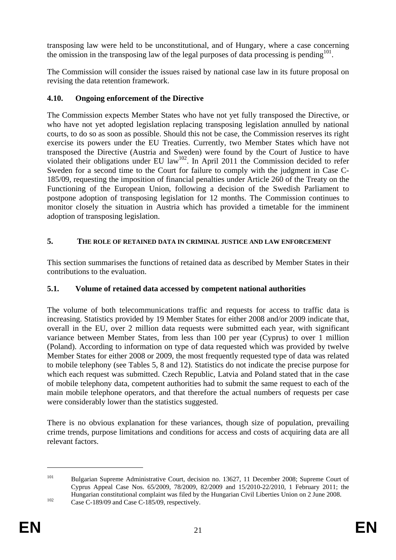transposing law were held to be unconstitutional, and of Hungary, where a case concerning the omission in the transposing law of the legal purposes of data processing is pending<sup>101</sup>.

The Commission will consider the issues raised by national case law in its future proposal on revising the data retention framework.

## **4.10. Ongoing enforcement of the Directive**

The Commission expects Member States who have not yet fully transposed the Directive, or who have not yet adopted legislation replacing transposing legislation annulled by national courts, to do so as soon as possible. Should this not be case, the Commission reserves its right exercise its powers under the EU Treaties. Currently, two Member States which have not transposed the Directive (Austria and Sweden) were found by the Court of Justice to have violated their obligations under EU law<sup>102</sup>. In April 2011 the Commission decided to refer Sweden for a second time to the Court for failure to comply with the judgment in Case C-185/09, requesting the imposition of financial penalties under Article 260 of the Treaty on the Functioning of the European Union, following a decision of the Swedish Parliament to postpone adoption of transposing legislation for 12 months. The Commission continues to monitor closely the situation in Austria which has provided a timetable for the imminent adoption of transposing legislation.

## **5. THE ROLE OF RETAINED DATA IN CRIMINAL JUSTICE AND LAW ENFORCEMENT**

This section summarises the functions of retained data as described by Member States in their contributions to the evaluation.

## **5.1. Volume of retained data accessed by competent national authorities**

The volume of both telecommunications traffic and requests for access to traffic data is increasing. Statistics provided by 19 Member States for either 2008 and/or 2009 indicate that, overall in the EU, over 2 million data requests were submitted each year, with significant variance between Member States, from less than 100 per year (Cyprus) to over 1 million (Poland). According to information on type of data requested which was provided by twelve Member States for either 2008 or 2009, the most frequently requested type of data was related to mobile telephony (see Tables 5, 8 and 12). Statistics do not indicate the precise purpose for which each request was submitted. Czech Republic, Latvia and Poland stated that in the case of mobile telephony data, competent authorities had to submit the same request to each of the main mobile telephone operators, and that therefore the actual numbers of requests per case were considerably lower than the statistics suggested.

There is no obvious explanation for these variances, though size of population, prevailing crime trends, purpose limitations and conditions for access and costs of acquiring data are all relevant factors.

<sup>&</sup>lt;sup>101</sup> Bulgarian Supreme Administrative Court, decision no. 13627, 11 December 2008; Supreme Court of Cyprus Appeal Case Nos. 65/2009, 78/2009, 82/2009 and 15/2010-22/2010, 1 February 2011; the Hungarian constitutional complaint was filed by the Hungarian Civil Liberties Union on 2 June 2008.<br>Case C-189/09 and Case C-185/09, respectively.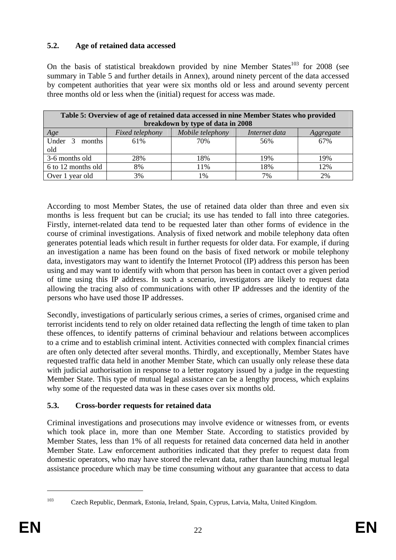## **5.2. Age of retained data accessed**

On the basis of statistical breakdown provided by nine Member States<sup>103</sup> for 2008 (see summary in Table 5 and further details in Annex), around ninety percent of the data accessed by competent authorities that year were six months old or less and around seventy percent three months old or less when the (initial) request for access was made.

| Table 5: Overview of age of retained data accessed in nine Member States who provided |                 |                                   |               |           |
|---------------------------------------------------------------------------------------|-----------------|-----------------------------------|---------------|-----------|
|                                                                                       |                 | breakdown by type of data in 2008 |               |           |
| <i>Age</i>                                                                            | Fixed telephony | Mobile telephony                  | Internet data | Aggregate |
| Under 3 months                                                                        | 61%             | 70%                               | 56%           | 67%       |
| old                                                                                   |                 |                                   |               |           |
| 3-6 months old                                                                        | 28%             | 18%                               | 19%           | 19%       |
| 6 to 12 months old                                                                    | 8%              | 11%                               | 18%           | 12%       |
| Over 1 year old                                                                       | 3%              | 1%                                | 7%            | 2%        |

According to most Member States, the use of retained data older than three and even six months is less frequent but can be crucial; its use has tended to fall into three categories. Firstly, internet-related data tend to be requested later than other forms of evidence in the course of criminal investigations. Analysis of fixed network and mobile telephony data often generates potential leads which result in further requests for older data. For example, if during an investigation a name has been found on the basis of fixed network or mobile telephony data, investigators may want to identify the Internet Protocol (IP) address this person has been using and may want to identify with whom that person has been in contact over a given period of time using this IP address. In such a scenario, investigators are likely to request data allowing the tracing also of communications with other IP addresses and the identity of the persons who have used those IP addresses.

Secondly, investigations of particularly serious crimes, a series of crimes, organised crime and terrorist incidents tend to rely on older retained data reflecting the length of time taken to plan these offences, to identify patterns of criminal behaviour and relations between accomplices to a crime and to establish criminal intent. Activities connected with complex financial crimes are often only detected after several months. Thirdly, and exceptionally, Member States have requested traffic data held in another Member State, which can usually only release these data with judicial authorisation in response to a letter rogatory issued by a judge in the requesting Member State. This type of mutual legal assistance can be a lengthy process, which explains why some of the requested data was in these cases over six months old.

## **5.3. Cross-border requests for retained data**

Criminal investigations and prosecutions may involve evidence or witnesses from, or events which took place in, more than one Member State. According to statistics provided by Member States, less than 1% of all requests for retained data concerned data held in another Member State. Law enforcement authorities indicated that they prefer to request data from domestic operators, who may have stored the relevant data, rather than launching mutual legal assistance procedure which may be time consuming without any guarantee that access to data

<sup>103</sup> Czech Republic, Denmark, Estonia, Ireland, Spain, Cyprus, Latvia, Malta, United Kingdom.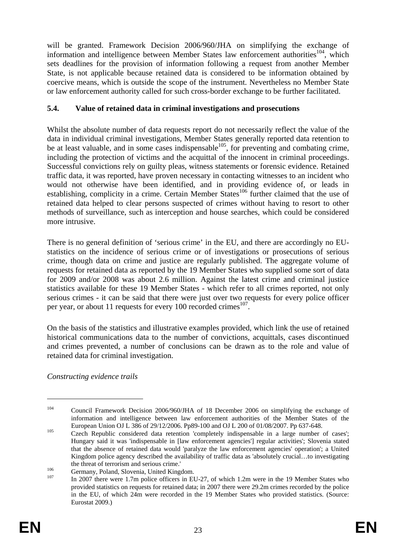will be granted. Framework Decision 2006/960/JHA on simplifying the exchange of information and intelligence between Member States law enforcement authorities<sup>104</sup>, which sets deadlines for the provision of information following a request from another Member State, is not applicable because retained data is considered to be information obtained by coercive means, which is outside the scope of the instrument. Nevertheless no Member State or law enforcement authority called for such cross-border exchange to be further facilitated.

## **5.4. Value of retained data in criminal investigations and prosecutions**

Whilst the absolute number of data requests report do not necessarily reflect the value of the data in individual criminal investigations, Member States generally reported data retention to be at least valuable, and in some cases indispensable<sup>105</sup>, for preventing and combating crime, including the protection of victims and the acquittal of the innocent in criminal proceedings. Successful convictions rely on guilty pleas, witness statements or forensic evidence. Retained traffic data, it was reported, have proven necessary in contacting witnesses to an incident who would not otherwise have been identified, and in providing evidence of, or leads in establishing, complicity in a crime. Certain Member States<sup>106</sup> further claimed that the use of retained data helped to clear persons suspected of crimes without having to resort to other methods of surveillance, such as interception and house searches, which could be considered more intrusive.

There is no general definition of 'serious crime' in the EU, and there are accordingly no EUstatistics on the incidence of serious crime or of investigations or prosecutions of serious crime, though data on crime and justice are regularly published. The aggregate volume of requests for retained data as reported by the 19 Member States who supplied some sort of data for 2009 and/or 2008 was about 2.6 million. Against the latest crime and criminal justice statistics available for these 19 Member States - which refer to all crimes reported, not only serious crimes - it can be said that there were just over two requests for every police officer per year, or about 11 requests for every 100 recorded crimes<sup>107</sup>.

On the basis of the statistics and illustrative examples provided, which link the use of retained historical communications data to the number of convictions, acquittals, cases discontinued and crimes prevented, a number of conclusions can be drawn as to the role and value of retained data for criminal investigation.

*Constructing evidence trails* 

<sup>&</sup>lt;sup>104</sup> Council Framework Decision 2006/960/JHA of 18 December 2006 on simplifying the exchange of information and intelligence between law enforcement authorities of the Member States of the European Union OJ L 386 of 29/12/2006. Pp89-100 and OJ L 200 of 01/08/2007. Pp 637-648.<br>Czech Republic considered data retention 'completely indispensable in a large number of cases';

Hungary said it was 'indispensable in [law enforcement agencies'] regular activities'; Slovenia stated that the absence of retained data would 'paralyze the law enforcement agencies' operation'; a United Kingdom police agency described the availability of traffic data as 'absolutely crucial…to investigating the threat of terrorism and serious crime.'<br>
Germany, Poland, Slovenia, United Kingdom.<br>
In 2007 there were 1.7m police officers in EU-27, of which 1.2m were in the 19 Member States who

provided statistics on requests for retained data; in 2007 there were 29.2m crimes recorded by the police in the EU, of which 24m were recorded in the 19 Member States who provided statistics. (Source: Eurostat 2009.)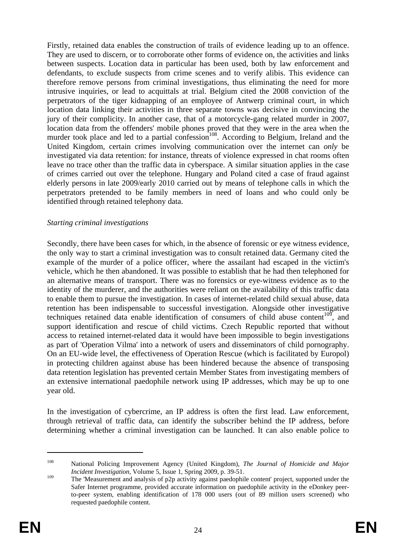Firstly, retained data enables the construction of trails of evidence leading up to an offence. They are used to discern, or to corroborate other forms of evidence on, the activities and links between suspects. Location data in particular has been used, both by law enforcement and defendants, to exclude suspects from crime scenes and to verify alibis. This evidence can therefore remove persons from criminal investigations, thus eliminating the need for more intrusive inquiries, or lead to acquittals at trial. Belgium cited the 2008 conviction of the perpetrators of the tiger kidnapping of an employee of Antwerp criminal court, in which location data linking their activities in three separate towns was decisive in convincing the jury of their complicity. In another case, that of a motorcycle-gang related murder in 2007, location data from the offenders' mobile phones proved that they were in the area when the murder took place and led to a partial confession<sup>108</sup>. According to Belgium, Ireland and the United Kingdom, certain crimes involving communication over the internet can *only* be investigated via data retention: for instance, threats of violence expressed in chat rooms often leave no trace other than the traffic data in cyberspace. A similar situation applies in the case of crimes carried out over the telephone. Hungary and Poland cited a case of fraud against elderly persons in late 2009/early 2010 carried out by means of telephone calls in which the perpetrators pretended to be family members in need of loans and who could only be identified through retained telephony data.

#### *Starting criminal investigations*

Secondly, there have been cases for which, in the absence of forensic or eye witness evidence, the only way to start a criminal investigation was to consult retained data. Germany cited the example of the murder of a police officer, where the assailant had escaped in the victim's vehicle, which he then abandoned. It was possible to establish that he had then telephoned for an alternative means of transport. There was no forensics or eye-witness evidence as to the identity of the murderer, and the authorities were reliant on the availability of this traffic data to enable them to pursue the investigation. In cases of internet-related child sexual abuse, data retention has been indispensable to successful investigation. Alongside other investigative techniques retained data enable identification of consumers of child abuse content<sup>109</sup>, and support identification and rescue of child victims. Czech Republic reported that without access to retained internet-related data it would have been impossible to begin investigations as part of 'Operation Vilma' into a network of users and disseminators of child pornography. On an EU-wide level, the effectiveness of Operation Rescue (which is facilitated by Europol) in protecting children against abuse has been hindered because the absence of transposing data retention legislation has prevented certain Member States from investigating members of an extensive international paedophile network using IP addresses, which may be up to one year old.

In the investigation of cybercrime, an IP address is often the first lead. Law enforcement, through retrieval of traffic data, can identify the subscriber behind the IP address, before determining whether a criminal investigation can be launched. It can also enable police to

<sup>108</sup> National Policing Improvement Agency (United Kingdom), *The Journal of Homicide and Major Incident Investigation*, Volume 5, Issue 1, Spring 2009, p. 39-51.

<sup>&</sup>lt;sup>109</sup> The 'Measurement and analysis of p2p activity against paedophile content' project, supported under the Safer Internet programme, provided accurate information on paedophile activity in the eDonkey peerto-peer system, enabling identification of 178 000 users (out of 89 million users screened) who requested paedophile content.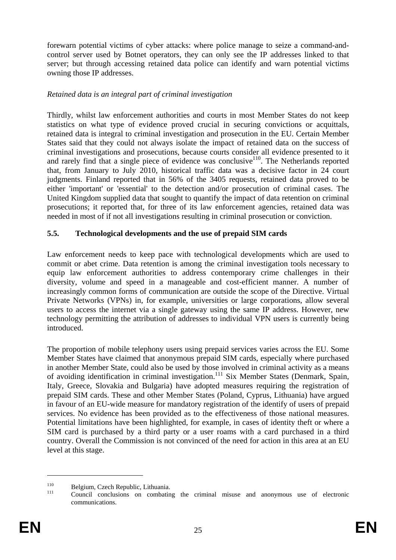forewarn potential victims of cyber attacks: where police manage to seize a command-andcontrol server used by Botnet operators, they can only see the IP addresses linked to that server; but through accessing retained data police can identify and warn potential victims owning those IP addresses.

#### *Retained data is an integral part of criminal investigation*

Thirdly, whilst law enforcement authorities and courts in most Member States do not keep statistics on what type of evidence proved crucial in securing convictions or acquittals, retained data is integral to criminal investigation and prosecution in the EU. Certain Member States said that they could not always isolate the impact of retained data on the success of criminal investigations and prosecutions, because courts consider all evidence presented to it and rarely find that a single piece of evidence was conclusive<sup>110</sup>. The Netherlands reported that, from January to July 2010, historical traffic data was a decisive factor in 24 court judgments. Finland reported that in 56% of the 3405 requests, retained data proved to be either 'important' or 'essential' to the detection and/or prosecution of criminal cases. The United Kingdom supplied data that sought to quantify the impact of data retention on criminal prosecutions; it reported that, for three of its law enforcement agencies, retained data was needed in most of if not all investigations resulting in criminal prosecution or conviction.

#### **5.5. Technological developments and the use of prepaid SIM cards**

Law enforcement needs to keep pace with technological developments which are used to commit or abet crime. Data retention is among the criminal investigation tools necessary to equip law enforcement authorities to address contemporary crime challenges in their diversity, volume and speed in a manageable and cost-efficient manner. A number of increasingly common forms of communication are outside the scope of the Directive. Virtual Private Networks (VPNs) in, for example, universities or large corporations, allow several users to access the internet via a single gateway using the same IP address. However, new technology permitting the attribution of addresses to individual VPN users is currently being introduced.

The proportion of mobile telephony users using prepaid services varies across the EU. Some Member States have claimed that anonymous prepaid SIM cards, especially where purchased in another Member State, could also be used by those involved in criminal activity as a means of avoiding identification in criminal investigation.<sup>111</sup> Six Member States (Denmark, Spain, Italy, Greece, Slovakia and Bulgaria) have adopted measures requiring the registration of prepaid SIM cards. These and other Member States (Poland, Cyprus, Lithuania) have argued in favour of an EU-wide measure for mandatory registration of the identify of users of prepaid services. No evidence has been provided as to the effectiveness of those national measures. Potential limitations have been highlighted, for example, in cases of identity theft or where a SIM card is purchased by a third party or a user roams with a card purchased in a third country. Overall the Commission is not convinced of the need for action in this area at an EU level at this stage.

<sup>110</sup> Belgium, Czech Republic, Lithuania. 111 Council conclusions on combating the criminal misuse and anonymous use of electronic communications.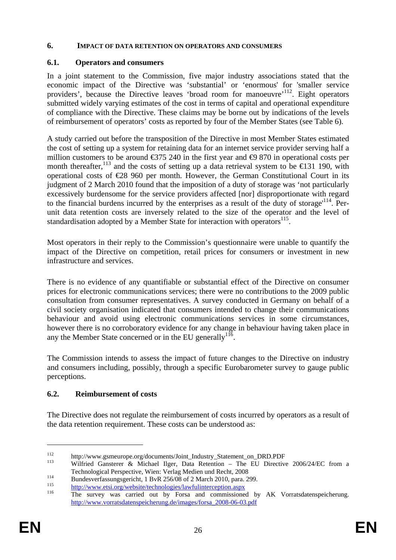#### **6. IMPACT OF DATA RETENTION ON OPERATORS AND CONSUMERS**

### **6.1. Operators and consumers**

In a joint statement to the Commission, five major industry associations stated that the economic impact of the Directive was 'substantial' or 'enormous' for 'smaller service providers', because the Directive leaves 'broad room for manoeuvre'<sup>112</sup>. Eight operators submitted widely varying estimates of the cost in terms of capital and operational expenditure of compliance with the Directive. These claims may be borne out by indications of the levels of reimbursement of operators' costs as reported by four of the Member States (see Table 6).

A study carried out before the transposition of the Directive in most Member States estimated the cost of setting up a system for retaining data for an internet service provider serving half a million customers to be around  $\epsilon$ 375 240 in the first year and  $\epsilon$ 9 870 in operational costs per month thereafter,<sup>113</sup> and the costs of setting up a data retrieval system to be  $\in$  31 190, with operational costs of €28 960 per month. However, the German Constitutional Court in its judgment of 2 March 2010 found that the imposition of a duty of storage was 'not particularly excessively burdensome for the service providers affected [nor] disproportionate with regard to the financial burdens incurred by the enterprises as a result of the duty of storage<sup> $114$ </sup>. Perunit data retention costs are inversely related to the size of the operator and the level of standardisation adopted by a Member State for interaction with operators<sup>115</sup>.

Most operators in their reply to the Commission's questionnaire were unable to quantify the impact of the Directive on competition, retail prices for consumers or investment in new infrastructure and services.

There is no evidence of any quantifiable or substantial effect of the Directive on consumer prices for electronic communications services; there were no contributions to the 2009 public consultation from consumer representatives. A survey conducted in Germany on behalf of a civil society organisation indicated that consumers intended to change their communications behaviour and avoid using electronic communications services in some circumstances, however there is no corroboratory evidence for any change in behaviour having taken place in any the Member State concerned or in the EU generally<sup>116</sup>.

The Commission intends to assess the impact of future changes to the Directive on industry and consumers including, possibly, through a specific Eurobarometer survey to gauge public perceptions.

## **6.2. Reimbursement of costs**

The Directive does not regulate the reimbursement of costs incurred by operators as a result of the data retention requirement. These costs can be understood as:

<sup>112</sup> http://www.gsmeurope.org/documents/Joint\_Industry\_Statement\_on\_DRD.PDF 113 Wilfried Gansterer & Michael Ilger, Data Retention – The EU Directive 2006/24/EC from a Technological Perspective, Wien: Verlag Medien und Recht, 2008<br>Bundesverfassungsgericht, 1 BvR 256/08 of 2 March 2010, para. 299.<br>http://www.etsi.org/website/technologies/lawfulinterception.aspx<br>The survey was carried out

[http://www.vorratsdatenspeicherung.de/images/forsa\\_2008-06-03.pdf](http://www.vorratsdatenspeicherung.de/images/forsa_2008-06-03.pdf)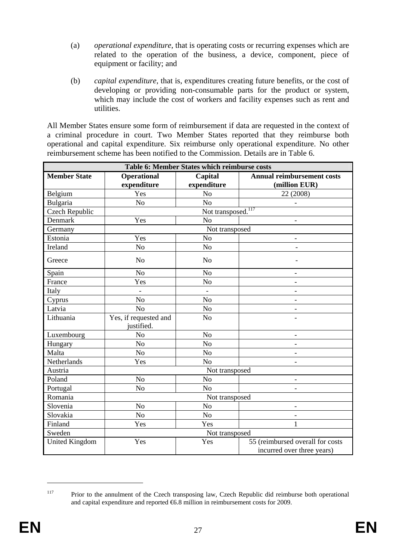- (a) *operational expenditure*, that is operating costs or recurrin[g expenses](http://en.wikipedia.org/wiki/Expense) which are related to the operation of the business, a device, component, piece of equipment or facility; and
- (b) *capital expenditure*, that is, expenditures creating future benefits, or the cost of developing or providing non-consumable parts for the product or system, which may include the cost of workers and facility expenses such as rent and utilities.

All Member States ensure some form of reimbursement if data are requested in the context of a criminal procedure in court. Two Member States reported that they reimburse both operational and capital expenditure. Six reimburse only operational expenditure. No other reimbursement scheme has been notified to the Commission. Details are in Table 6.

| Table 6: Member States which reimburse costs |                                   |                                |                                                                |  |
|----------------------------------------------|-----------------------------------|--------------------------------|----------------------------------------------------------------|--|
| <b>Member State</b>                          | <b>Operational</b><br>expenditure | Capital<br>expenditure         | <b>Annual reimbursement costs</b><br>(million EUR)             |  |
| Belgium                                      | Yes                               | N <sub>o</sub>                 | 22 (2008)                                                      |  |
| Bulgaria                                     | N <sub>o</sub>                    | N <sub>o</sub>                 |                                                                |  |
| <b>Czech Republic</b>                        |                                   | Not transposed. <sup>117</sup> |                                                                |  |
| Denmark                                      | Yes                               | N <sub>o</sub>                 |                                                                |  |
| Germany                                      |                                   | Not transposed                 |                                                                |  |
| Estonia                                      | Yes                               | N <sub>o</sub>                 |                                                                |  |
| Ireland                                      | N <sub>o</sub>                    | N <sub>o</sub>                 |                                                                |  |
| Greece                                       | N <sub>o</sub>                    | N <sub>o</sub>                 |                                                                |  |
| Spain                                        | N <sub>o</sub>                    | N <sub>o</sub>                 | $\overline{a}$                                                 |  |
| France                                       | Yes                               | N <sub>o</sub>                 |                                                                |  |
| Italy                                        |                                   |                                |                                                                |  |
| Cyprus                                       | No                                | N <sub>o</sub>                 |                                                                |  |
| Latvia                                       | N <sub>o</sub>                    | N <sub>o</sub>                 |                                                                |  |
| Lithuania                                    | Yes, if requested and             | N <sub>o</sub>                 |                                                                |  |
|                                              | justified.                        |                                |                                                                |  |
| Luxembourg                                   | N <sub>o</sub>                    | N <sub>o</sub>                 | $\qquad \qquad -$                                              |  |
| Hungary                                      | N <sub>o</sub>                    | N <sub>o</sub>                 |                                                                |  |
| Malta                                        | No                                | $\rm No$                       |                                                                |  |
| Netherlands                                  | Yes<br>N <sub>o</sub>             |                                |                                                                |  |
| Austria                                      |                                   | Not transposed                 |                                                                |  |
| Poland                                       | N <sub>o</sub>                    | N <sub>o</sub>                 |                                                                |  |
| Portugal                                     | N <sub>o</sub>                    | N <sub>o</sub>                 |                                                                |  |
| Romania                                      | Not transposed                    |                                |                                                                |  |
| Slovenia                                     | No                                | N <sub>o</sub>                 | $\overline{\phantom{a}}$                                       |  |
| Slovakia                                     | No                                | N <sub>o</sub>                 |                                                                |  |
| Finland                                      | Yes                               | Yes                            | 1                                                              |  |
| Sweden                                       | Not transposed                    |                                |                                                                |  |
| <b>United Kingdom</b>                        | Yes                               | Yes                            | 55 (reimbursed overall for costs<br>incurred over three years) |  |

<u>.</u>

<sup>117</sup> Prior to the annulment of the Czech transposing law, Czech Republic did reimburse both operational and capital expenditure and reported €6.8 million in reimbursement costs for 2009.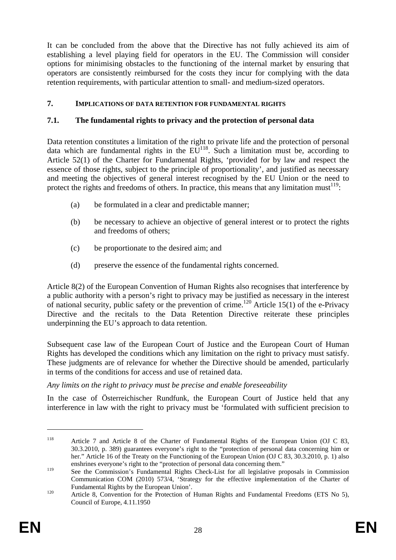It can be concluded from the above that the Directive has not fully achieved its aim of establishing a level playing field for operators in the EU. The Commission will consider options for minimising obstacles to the functioning of the internal market by ensuring that operators are consistently reimbursed for the costs they incur for complying with the data retention requirements, with particular attention to small- and medium-sized operators.

## **7. IMPLICATIONS OF DATA RETENTION FOR FUNDAMENTAL RIGHTS**

## **7.1. The fundamental rights to privacy and the protection of personal data**

Data retention constitutes a limitation of the right to private life and the protection of personal data which are fundamental rights in the  $E\overline{U}^{118}$ . Such a limitation must be, according to Article 52(1) of the Charter for Fundamental Rights, 'provided for by law and respect the essence of those rights, subject to the principle of proportionality', and justified as necessary and meeting the objectives of general interest recognised by the EU Union or the need to protect the rights and freedoms of others. In practice, this means that any limitation must $1^{19}$ :

- (a) be formulated in a clear and predictable manner;
- (b) be necessary to achieve an objective of general interest or to protect the rights and freedoms of others;
- (c) be proportionate to the desired aim; and
- (d) preserve the essence of the fundamental rights concerned.

Article 8(2) of the European Convention of Human Rights also recognises that interference by a public authority with a person's right to privacy may be justified as necessary in the interest of national security, public safety or the prevention of crime.<sup>120</sup> Article 15(1) of the e-Privacy Directive and the recitals to the Data Retention Directive reiterate these principles underpinning the EU's approach to data retention.

Subsequent case law of the European Court of Justice and the European Court of Human Rights has developed the conditions which any limitation on the right to privacy must satisfy. These judgments are of relevance for whether the Directive should be amended, particularly in terms of the conditions for access and use of retained data.

## *Any limits on the right to privacy must be precise and enable foreseeability*

In the case of Österreichischer Rundfunk, the European Court of Justice held that any interference in law with the right to privacy must be 'formulated with sufficient precision to

<sup>118</sup> Article 7 and Article 8 of the Charter of Fundamental Rights of the European Union (OJ C 83, 30.3.2010, p. 389) guarantees everyone's right to the "protection of personal data concerning him or her." Article 16 of the Treaty on the Functioning of the European Union (OJ C 83, 30.3.2010, p. 1) also enshrines everyone's right to the "protection of personal data concerning them."

<sup>&</sup>lt;sup>119</sup> See the Commission's Fundamental Rights Check-List for all legislative proposals in Commission Communication COM (2010) 573/4, 'Strategy for the effective implementation of the Charter of Fundamental Rights by the European Union'.<br>
120 Article 8, Convention for the Protection of Human Rights and Fundamental Freedoms (ETS No 5),

Council of Europe, 4.11.1950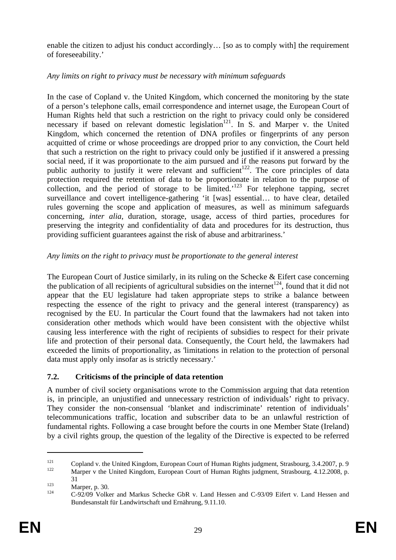enable the citizen to adjust his conduct accordingly… [so as to comply with] the requirement of foreseeability.'

## *Any limits on right to privacy must be necessary with minimum safeguards*

In the case of Copland v. the United Kingdom*,* which concerned the monitoring by the state of a person's telephone calls, email correspondence and internet usage, the European Court of Human Rights held that such a restriction on the right to privacy could only be considered necessary if based on relevant domestic legislation<sup>121</sup>. In S. and Marper v. the United Kingdom, which concerned the retention of DNA profiles or fingerprints of any person acquitted of crime or whose proceedings are dropped prior to any conviction, the Court held that such a restriction on the right to privacy could only be justified if it answered a pressing social need, if it was proportionate to the aim pursued and if the reasons put forward by the public authority to justify it were relevant and sufficient<sup>122</sup>. The core principles of data protection required the retention of data to be proportionate in relation to the purpose of collection, and the period of storage to be limited.<sup>123</sup> For telephone tapping, secret surveillance and covert intelligence-gathering 'it [was] essential… to have clear, detailed rules governing the scope and application of measures, as well as minimum safeguards concerning, *inter alia*, duration, storage, usage, access of third parties, procedures for preserving the integrity and confidentiality of data and procedures for its destruction, thus providing sufficient guarantees against the risk of abuse and arbitrariness.'

## *Any limits on the right to privacy must be proportionate to the general interest*

The European Court of Justice similarly, in its ruling on the Schecke & Eifert case concerning the publication of all recipients of agricultural subsidies on the internet<sup>124</sup>, found that it did not appear that the EU legislature had taken appropriate steps to strike a balance between respecting the essence of the right to privacy and the general interest (transparency) as recognised by the EU. In particular the Court found that the lawmakers had not taken into consideration other methods which would have been consistent with the objective whilst causing less interference with the right of recipients of subsidies to respect for their private life and protection of their personal data. Consequently, the Court held, the lawmakers had exceeded the limits of proportionality, as 'limitations in relation to the protection of personal data must apply only insofar as is strictly necessary.'

## **7.2. Criticisms of the principle of data retention**

A number of civil society organisations wrote to the Commission arguing that data retention is, in principle, an unjustified and unnecessary restriction of individuals' right to privacy. They consider the non-consensual 'blanket and indiscriminate' retention of individuals' telecommunications traffic, location and subscriber data to be an unlawful restriction of fundamental rights. Following a case brought before the courts in one Member State (Ireland) by a civil rights group, the question of the legality of the Directive is expected to be referred

<sup>121</sup> Copland v. the United Kingdom, European Court of Human Rights judgment, Strasbourg, 3.4.2007, p. 9<br>122 Marper v the United Kingdom, European Court of Human Rights judgment, Strasbourg, 4.12.2008, p.

<sup>31 31&</sup>lt;br>123 Marper, p. 30.<br>124 C-92/09 Volker and Markus Schecke GbR v. Land Hessen and C-93/09 Eifert v. Land Hessen and Bundesanstalt für Landwirtschaft und Ernährung, 9.11.10.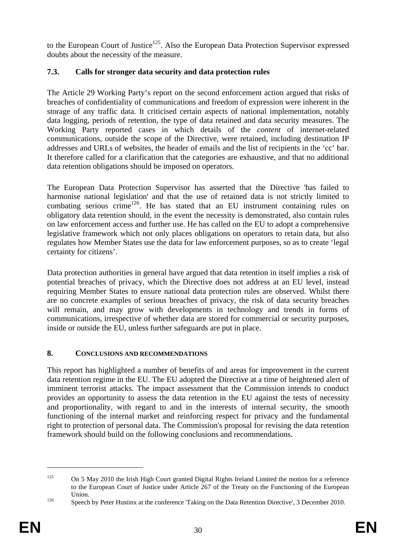to the European Court of Justice<sup>125</sup>. Also the European Data Protection Supervisor expressed doubts about the necessity of the measure.

## **7.3. Calls for stronger data security and data protection rules**

The Article 29 Working Party's report on the second enforcement action argued that risks of breaches of confidentiality of communications and freedom of expression were inherent in the storage of any traffic data. It criticised certain aspects of national implementation, notably data logging, periods of retention, the type of data retained and data security measures. The Working Party reported cases in which details of the *content* of internet-related communications, outside the scope of the Directive, were retained, including destination IP addresses and URLs of websites, the header of emails and the list of recipients in the 'cc' bar. It therefore called for a clarification that the categories are exhaustive, and that no additional data retention obligations should be imposed on operators.

The European Data Protection Supervisor has asserted that the Directive 'has failed to harmonise national legislation' and that the use of retained data is not strictly limited to combating serious crime<sup>126</sup>. He has stated that an EU instrument containing rules on obligatory data retention should, in the event the necessity is demonstrated, also contain rules on law enforcement access and further use. He has called on the EU to adopt a comprehensive legislative framework which not only places obligations on operators to retain data, but also regulates how Member States use the data for law enforcement purposes, so as to create 'legal certainty for citizens'.

Data protection authorities in general have argued that data retention in itself implies a risk of potential breaches of privacy, which the Directive does not address at an EU level, instead requiring Member States to ensure national data protection rules are observed. Whilst there are no concrete examples of serious breaches of privacy, the risk of data security breaches will remain, and may grow with developments in technology and trends in forms of communications, irrespective of whether data are stored for commercial or security purposes, inside or outside the EU, unless further safeguards are put in place.

## **8. CONCLUSIONS AND RECOMMENDATIONS**

This report has highlighted a number of benefits of and areas for improvement in the current data retention regime in the EU. The EU adopted the Directive at a time of heightened alert of imminent terrorist attacks. The impact assessment that the Commission intends to conduct provides an opportunity to assess the data retention in the EU against the tests of necessity and proportionality, with regard to and in the interests of internal security, the smooth functioning of the internal market and reinforcing respect for privacy and the fundamental right to protection of personal data. The Commission's proposal for revising the data retention framework should build on the following conclusions and recommendations.

<sup>&</sup>lt;sup>125</sup> On 5 May 2010 the Irish High Court granted Digital Rights Ireland Limited the motion for a reference to the European Court of Justice under Article 267 of the Treaty on the Functioning of the European Union.<br>
126 Speech by Peter Hustinx at the conference 'Taking on the Data Retention Directive', 3 December 2010.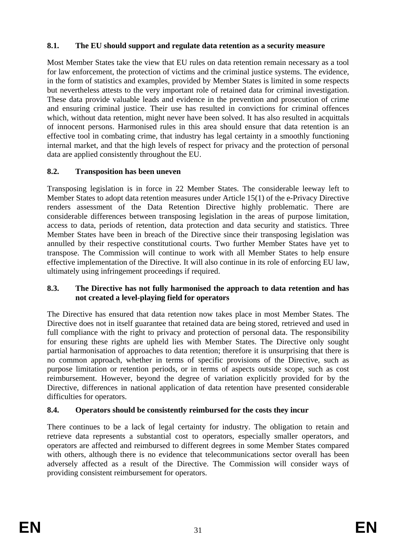## **8.1. The EU should support and regulate data retention as a security measure**

Most Member States take the view that EU rules on data retention remain necessary as a tool for law enforcement, the protection of victims and the criminal justice systems. The evidence, in the form of statistics and examples, provided by Member States is limited in some respects but nevertheless attests to the very important role of retained data for criminal investigation. These data provide valuable leads and evidence in the prevention and prosecution of crime and ensuring criminal justice. Their use has resulted in convictions for criminal offences which, without data retention, might never have been solved. It has also resulted in acquittals of innocent persons. Harmonised rules in this area should ensure that data retention is an effective tool in combating crime, that industry has legal certainty in a smoothly functioning internal market, and that the high levels of respect for privacy and the protection of personal data are applied consistently throughout the EU.

## **8.2. Transposition has been uneven**

Transposing legislation is in force in 22 Member States. The considerable leeway left to Member States to adopt data retention measures under Article 15(1) of the e-Privacy Directive renders assessment of the Data Retention Directive highly problematic. There are considerable differences between transposing legislation in the areas of purpose limitation, access to data, periods of retention, data protection and data security and statistics. Three Member States have been in breach of the Directive since their transposing legislation was annulled by their respective constitutional courts. Two further Member States have yet to transpose. The Commission will continue to work with all Member States to help ensure effective implementation of the Directive. It will also continue in its role of enforcing EU law, ultimately using infringement proceedings if required.

#### **8.3. The Directive has not fully harmonised the approach to data retention and has not created a level-playing field for operators**

The Directive has ensured that data retention now takes place in most Member States. The Directive does not in itself guarantee that retained data are being stored, retrieved and used in full compliance with the right to privacy and protection of personal data. The responsibility for ensuring these rights are upheld lies with Member States. The Directive only sought partial harmonisation of approaches to data retention; therefore it is unsurprising that there is no common approach, whether in terms of specific provisions of the Directive, such as purpose limitation or retention periods, or in terms of aspects outside scope, such as cost reimbursement. However, beyond the degree of variation explicitly provided for by the Directive, differences in national application of data retention have presented considerable difficulties for operators.

## **8.4. Operators should be consistently reimbursed for the costs they incur**

There continues to be a lack of legal certainty for industry. The obligation to retain and retrieve data represents a substantial cost to operators, especially smaller operators, and operators are affected and reimbursed to different degrees in some Member States compared with others, although there is no evidence that telecommunications sector overall has been adversely affected as a result of the Directive. The Commission will consider ways of providing consistent reimbursement for operators.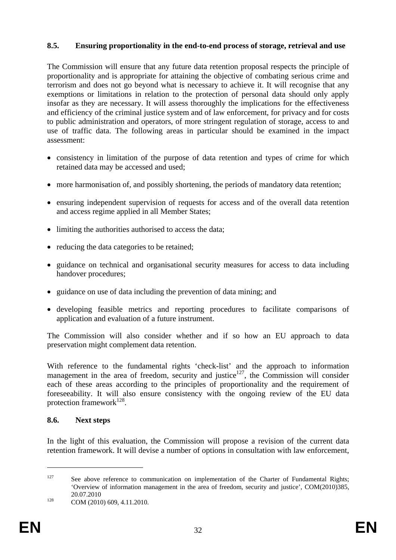#### **8.5. Ensuring proportionality in the end-to-end process of storage, retrieval and use**

The Commission will ensure that any future data retention proposal respects the principle of proportionality and is appropriate for attaining the objective of combating serious crime and terrorism and does not go beyond what is necessary to achieve it. It will recognise that any exemptions or limitations in relation to the protection of personal data should only apply insofar as they are necessary. It will assess thoroughly the implications for the effectiveness and efficiency of the criminal justice system and of law enforcement, for privacy and for costs to public administration and operators, of more stringent regulation of storage, access to and use of traffic data. The following areas in particular should be examined in the impact assessment:

- consistency in limitation of the purpose of data retention and types of crime for which retained data may be accessed and used;
- more harmonisation of, and possibly shortening, the periods of mandatory data retention;
- ensuring independent supervision of requests for access and of the overall data retention and access regime applied in all Member States;
- limiting the authorities authorised to access the data;
- reducing the data categories to be retained;
- guidance on technical and organisational security measures for access to data including handover procedures;
- guidance on use of data including the prevention of data mining; and
- developing feasible metrics and reporting procedures to facilitate comparisons of application and evaluation of a future instrument.

The Commission will also consider whether and if so how an EU approach to data preservation might complement data retention.

With reference to the fundamental rights 'check-list' and the approach to information management in the area of freedom, security and justice<sup>127</sup>, the Commission will consider each of these areas according to the principles of proportionality and the requirement of foreseeability. It will also ensure consistency with the ongoing review of the EU data protection framework $128$ .

#### **8.6. Next steps**

In the light of this evaluation, the Commission will propose a revision of the current data retention framework. It will devise a number of options in consultation with law enforcement,

<sup>&</sup>lt;sup>127</sup> See above reference to communication on implementation of the Charter of Fundamental Rights; 'Overview of information management in the area of freedom, security and justice', COM(2010)385, 20.07.2010<br>COM (2010) 609, 4.11.2010.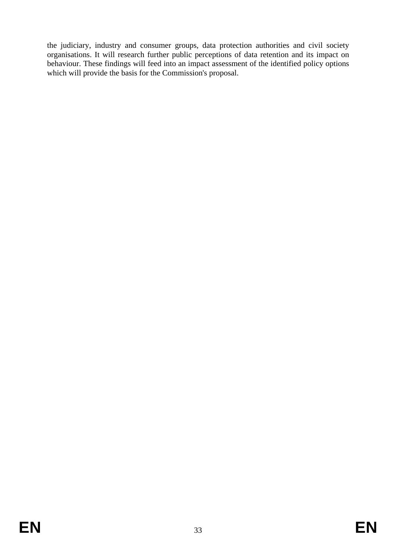the judiciary, industry and consumer groups, data protection authorities and civil society organisations. It will research further public perceptions of data retention and its impact on behaviour. These findings will feed into an impact assessment of the identified policy options which will provide the basis for the Commission's proposal.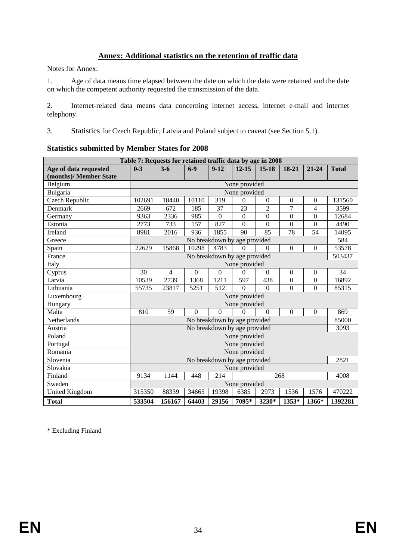### **Annex: Additional statistics on the retention of traffic data**

Notes for Annex:

1. Age of data means time elapsed between the date on which the data were retained and the date on which the competent authority requested the transmission of the data.

2. Internet-related data means data concerning internet access, internet e-mail and internet telephony.

3. Statistics for Czech Republic, Latvia and Poland subject to caveat (see Section 5.1).

|                        | Table 7: Requests for retained traffic data by age in 2008 |                |                  |                |                              |                  |                  |                          |              |
|------------------------|------------------------------------------------------------|----------------|------------------|----------------|------------------------------|------------------|------------------|--------------------------|--------------|
| Age of data requested  | $0 - 3$                                                    | $3 - 6$        | $6-9$            | $9 - 12$       | $12 - 15$                    | $15 - 18$        | 18-21            | 21-24                    | <b>Total</b> |
| (months)/ Member State |                                                            |                |                  |                |                              |                  |                  |                          |              |
| Belgium                |                                                            |                |                  |                | None provided                |                  |                  |                          |              |
| Bulgaria               |                                                            |                |                  |                | None provided                |                  |                  |                          |              |
| Czech Republic         | 102691                                                     | 18440          | 10110            | 319            | $\Omega$                     | $\theta$         | $\boldsymbol{0}$ | $\Omega$                 | 131560       |
| Denmark                | 2669                                                       | 672            | 185              | 37             | 23                           | $\overline{2}$   | 7                | $\overline{\mathcal{L}}$ | 3599         |
| Germany                | 9363                                                       | 2336           | 985              | $\mathbf{0}$   | $\boldsymbol{0}$             | $\boldsymbol{0}$ | $\boldsymbol{0}$ | $\boldsymbol{0}$         | 12684        |
| Estonia                | 2773                                                       | 733            | 157              | 827            | $\overline{0}$               | $\overline{0}$   | $\overline{0}$   | $\mathbf{0}$             | 4490         |
| Ireland                | 8981                                                       | 2016           | 936              | 1855           | 90                           | 85               | 78               | 54                       | 14095        |
| Greece                 |                                                            |                |                  |                | No breakdown by age provided |                  |                  |                          | 584          |
| Spain                  | 22629                                                      | 15868          | 10298            | 4783           | $\boldsymbol{0}$             | $\theta$         | $\overline{0}$   | $\boldsymbol{0}$         | 53578        |
| France                 |                                                            |                |                  |                | No breakdown by age provided |                  |                  |                          | 503437       |
| Italy                  |                                                            |                |                  |                | None provided                |                  |                  |                          |              |
| Cyprus                 | 30                                                         | $\overline{4}$ | $\boldsymbol{0}$ | $\overline{0}$ | $\Omega$                     | $\Omega$         | $\boldsymbol{0}$ | $\boldsymbol{0}$         | 34           |
| Latvia                 | 10539                                                      | 2739           | 1368             | 1211           | 597                          | 438              | $\boldsymbol{0}$ | $\theta$                 | 16892        |
| Lithuania              | 55735                                                      | 23817          | 5251             | 512            | $\Omega$                     | $\Omega$         | $\overline{0}$   | $\overline{0}$           | 85315        |
| Luxembourg             |                                                            |                |                  |                | None provided                |                  |                  |                          |              |
| Hungary                |                                                            |                |                  |                | None provided                |                  |                  |                          |              |
| Malta                  | 810                                                        | 59             | $\Omega$         | $\overline{0}$ | $\Omega$                     | $\Omega$         | $\overline{0}$   | $\Omega$                 | 869          |
| Netherlands            |                                                            |                |                  |                | No breakdown by age provided |                  |                  |                          | 85000        |
| Austria                |                                                            |                |                  |                | No breakdown by age provided |                  |                  |                          | 3093         |
| Poland                 |                                                            |                |                  |                | None provided                |                  |                  |                          |              |
| Portugal               |                                                            |                |                  |                | None provided                |                  |                  |                          |              |
| Romania                |                                                            |                |                  |                | None provided                |                  |                  |                          |              |
| Slovenia               |                                                            |                |                  |                | No breakdown by age provided |                  |                  |                          | 2821         |
| Slovakia               |                                                            |                |                  |                | None provided                |                  |                  |                          |              |
| Finland                | 9134                                                       | 1144           | 448              | 214            |                              |                  | 268              |                          | 4008         |
| Sweden                 |                                                            |                |                  |                | None provided                |                  |                  |                          |              |
| <b>United Kingdom</b>  | 315350                                                     | 88339          | 34665            | 19398          | 6385                         | 2973             | 1536             | 1576                     | 470222       |
| <b>Total</b>           | 533504                                                     | 156167         | 64403            | 29156          | 7095*                        | 3230*            | 1353*            | 1366*                    | 1392281      |

#### **Statistics submitted by Member States for 2008**

\* Excluding Finland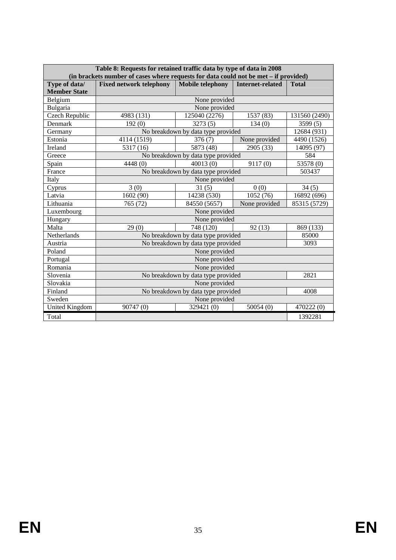|                                      | Table 8: Requests for retained traffic data by type of data in 2008<br>(in brackets number of cases where requests for data could not be met - if provided) |                                              |                  |               |  |  |  |  |  |
|--------------------------------------|-------------------------------------------------------------------------------------------------------------------------------------------------------------|----------------------------------------------|------------------|---------------|--|--|--|--|--|
| Type of data/<br><b>Member State</b> | <b>Fixed network telephony</b>                                                                                                                              | <b>Mobile telephony</b>                      | Internet-related | <b>Total</b>  |  |  |  |  |  |
| Belgium                              |                                                                                                                                                             | None provided                                |                  |               |  |  |  |  |  |
| Bulgaria                             |                                                                                                                                                             | None provided                                |                  |               |  |  |  |  |  |
| Czech Republic                       | 4983 (131)                                                                                                                                                  | 125040 (2276)                                | 1537 (83)        | 131560 (2490) |  |  |  |  |  |
| Denmark                              | 192(0)                                                                                                                                                      | 3273(5)                                      | 134(0)           | 3599 (5)      |  |  |  |  |  |
| Germany                              |                                                                                                                                                             | No breakdown by data type provided           |                  | 12684 (931)   |  |  |  |  |  |
| Estonia                              | 4114 (1519)                                                                                                                                                 | 376(7)                                       | None provided    | 4490 (1526)   |  |  |  |  |  |
| Ireland                              | 5317 (16)                                                                                                                                                   | 5873 (48)                                    | 2905 (33)        | 14095 (97)    |  |  |  |  |  |
| Greece                               |                                                                                                                                                             | No breakdown by data type provided           |                  | 584           |  |  |  |  |  |
| Spain                                | 4448(0)                                                                                                                                                     | 40013(0)                                     | 9117(0)          | 53578 (0)     |  |  |  |  |  |
| France                               |                                                                                                                                                             | No breakdown by data type provided<br>503437 |                  |               |  |  |  |  |  |
| Italy                                | None provided                                                                                                                                               |                                              |                  |               |  |  |  |  |  |
| Cyprus                               | 3(0)                                                                                                                                                        | 31(5)                                        | 34(5)            |               |  |  |  |  |  |
| Latvia                               | 1602 (90)                                                                                                                                                   | 14238 (530)                                  | 16892 (696)      |               |  |  |  |  |  |
| Lithuania                            | 765 (72)                                                                                                                                                    | 84550 (5657)                                 | None provided    | 85315 (5729)  |  |  |  |  |  |
| Luxembourg                           |                                                                                                                                                             | None provided                                |                  |               |  |  |  |  |  |
| Hungary                              |                                                                                                                                                             | None provided                                |                  |               |  |  |  |  |  |
| Malta                                | 29(0)                                                                                                                                                       | 748 (120)                                    | 92(13)           | 869 (133)     |  |  |  |  |  |
| Netherlands                          |                                                                                                                                                             | No breakdown by data type provided           |                  | 85000         |  |  |  |  |  |
| Austria                              |                                                                                                                                                             | No breakdown by data type provided           |                  | 3093          |  |  |  |  |  |
| Poland                               |                                                                                                                                                             | None provided                                |                  |               |  |  |  |  |  |
| Portugal                             |                                                                                                                                                             | None provided                                |                  |               |  |  |  |  |  |
| Romania                              |                                                                                                                                                             | None provided                                |                  |               |  |  |  |  |  |
| Slovenia                             |                                                                                                                                                             | No breakdown by data type provided           |                  | 2821          |  |  |  |  |  |
| Slovakia                             |                                                                                                                                                             | None provided                                |                  |               |  |  |  |  |  |
| Finland                              |                                                                                                                                                             | No breakdown by data type provided           |                  | 4008          |  |  |  |  |  |
| Sweden                               |                                                                                                                                                             | None provided                                |                  |               |  |  |  |  |  |
| <b>United Kingdom</b>                | 90747(0)                                                                                                                                                    | 329421 (0)                                   | 50054(0)         | 470222 (0)    |  |  |  |  |  |
| Total                                |                                                                                                                                                             |                                              |                  | 1392281       |  |  |  |  |  |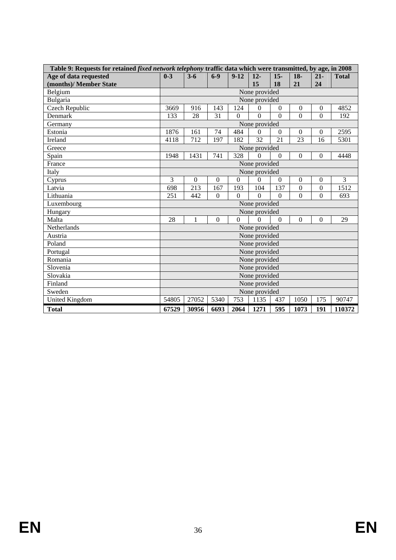| Table 9: Requests for retained <i>fixed network telephony</i> traffic data which were transmitted, by age, in 2008 |                                                                                                       |              |          |                |                 |          |                  |                  |              |
|--------------------------------------------------------------------------------------------------------------------|-------------------------------------------------------------------------------------------------------|--------------|----------|----------------|-----------------|----------|------------------|------------------|--------------|
| Age of data requested                                                                                              | $0 - 3$                                                                                               | $3 - 6$      | $6-9$    | $9-12$         | $12 -$          | $15 -$   | $18-$            | $21 -$           | <b>Total</b> |
| (months)/ Member State                                                                                             |                                                                                                       |              |          |                | 15              | 18       | 21               | 24               |              |
| Belgium                                                                                                            |                                                                                                       |              |          |                | None provided   |          |                  |                  |              |
| Bulgaria                                                                                                           |                                                                                                       |              |          |                | None provided   |          |                  |                  |              |
| <b>Czech Republic</b>                                                                                              | 3669                                                                                                  | 916          | 143      | 124            | $\Omega$        | $\theta$ | $\boldsymbol{0}$ | $\boldsymbol{0}$ | 4852         |
| Denmark                                                                                                            | 133                                                                                                   | 28           | 31       | $\overline{0}$ | $\overline{0}$  | $\Omega$ | $\overline{0}$   | $\overline{0}$   | 192          |
| Germany                                                                                                            |                                                                                                       |              |          |                | None provided   |          |                  |                  |              |
| Estonia                                                                                                            | 1876                                                                                                  | 161          | 74       | 484            | $\Omega$        | $\theta$ | $\theta$         | $\boldsymbol{0}$ | 2595         |
| Ireland                                                                                                            | 4118                                                                                                  | 712          | 197      | 182            | $\overline{32}$ | 21       | 23               | 16               | 5301         |
| Greece                                                                                                             | None provided                                                                                         |              |          |                |                 |          |                  |                  |              |
| Spain                                                                                                              | 1948                                                                                                  | 1431         | 741      | 328            | $\Omega$        | $\theta$ | $\boldsymbol{0}$ | $\mathbf{0}$     | 4448         |
| France                                                                                                             |                                                                                                       |              |          |                | None provided   |          |                  |                  |              |
| Italy                                                                                                              | None provided                                                                                         |              |          |                |                 |          |                  |                  |              |
| Cyprus                                                                                                             | 3<br>$\overline{0}$<br>$\overline{0}$<br>$\Omega$<br>$\Omega$<br>$\mathbf{0}$<br>$\Omega$<br>$\Omega$ |              |          |                |                 |          |                  | $\overline{3}$   |              |
| Latvia                                                                                                             | 213<br>167<br>193<br>137<br>$\overline{0}$<br>$\mathbf{0}$<br>104<br>698                              |              |          |                |                 |          |                  | 1512             |              |
| Lithuania                                                                                                          | 251                                                                                                   | 442          | $\Omega$ | $\Omega$       | $\Omega$        | $\theta$ | $\overline{0}$   | $\Omega$         | 693          |
| Luxembourg                                                                                                         |                                                                                                       |              |          |                | None provided   |          |                  |                  |              |
| Hungary                                                                                                            |                                                                                                       |              |          |                | None provided   |          |                  |                  |              |
| Malta                                                                                                              | 28                                                                                                    | $\mathbf{1}$ | $\Omega$ | $\Omega$       | $\Omega$        | $\Omega$ | $\Omega$         | $\mathbf{0}$     | 29           |
| Netherlands                                                                                                        |                                                                                                       |              |          |                | None provided   |          |                  |                  |              |
| Austria                                                                                                            |                                                                                                       |              |          |                | None provided   |          |                  |                  |              |
| Poland                                                                                                             |                                                                                                       |              |          |                | None provided   |          |                  |                  |              |
| Portugal                                                                                                           |                                                                                                       |              |          |                | None provided   |          |                  |                  |              |
| Romania                                                                                                            |                                                                                                       |              |          |                | None provided   |          |                  |                  |              |
| Slovenia                                                                                                           |                                                                                                       |              |          |                | None provided   |          |                  |                  |              |
| Slovakia                                                                                                           |                                                                                                       |              |          |                | None provided   |          |                  |                  |              |
| Finland                                                                                                            |                                                                                                       |              |          |                | None provided   |          |                  |                  |              |
| Sweden                                                                                                             |                                                                                                       |              |          |                | None provided   |          |                  |                  |              |
| <b>United Kingdom</b>                                                                                              | 54805                                                                                                 | 27052        | 5340     | 753            | 1135            | 437      | 1050             | 175              | 90747        |
| <b>Total</b>                                                                                                       | 67529                                                                                                 | 30956        | 6693     | 2064           | 1271            | 595      | 1073             | 191              | 110372       |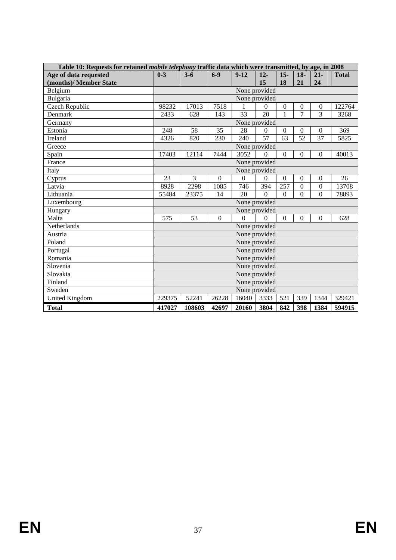| Table 10: Requests for retained <i>mobile telephony</i> traffic data which were transmitted, by age, in 2008 |                                                                               |               |                |                 |                |                  |                  |                  |              |
|--------------------------------------------------------------------------------------------------------------|-------------------------------------------------------------------------------|---------------|----------------|-----------------|----------------|------------------|------------------|------------------|--------------|
| Age of data requested                                                                                        | $0 - 3$                                                                       | $3 - 6$       | $6-9$          | $9-12$          | $12 -$         | $15-$            | $18-$            | $21 -$           | <b>Total</b> |
| (months)/ Member State                                                                                       |                                                                               |               |                |                 | 15             | 18               | 21               | 24               |              |
| Belgium                                                                                                      |                                                                               |               |                |                 | None provided  |                  |                  |                  |              |
| Bulgaria                                                                                                     |                                                                               |               |                |                 | None provided  |                  |                  |                  |              |
| <b>Czech Republic</b>                                                                                        | 98232                                                                         | 17013         | 7518           |                 | $\theta$       | $\boldsymbol{0}$ | $\boldsymbol{0}$ | $\boldsymbol{0}$ | 122764       |
| Denmark                                                                                                      | 2433                                                                          | 628           | 143            | $\overline{33}$ | 20             | $\mathbf{1}$     | $\overline{7}$   | $\overline{3}$   | 3268         |
| Germany                                                                                                      |                                                                               | None provided |                |                 |                |                  |                  |                  |              |
| Estonia                                                                                                      | 248                                                                           | 58            | 35             | 28              | $\overline{0}$ | $\overline{0}$   | $\theta$         | $\boldsymbol{0}$ | 369          |
| <b>Ireland</b>                                                                                               | 4326                                                                          | 820           | 230            | 240             | 57             | $\overline{63}$  | $\overline{52}$  | 37               | 5825         |
| Greece                                                                                                       |                                                                               |               |                | None provided   |                |                  |                  |                  |              |
| Spain                                                                                                        | 17403                                                                         | 12114         | 7444           | 3052            | $\mathbf{0}$   | $\mathbf{0}$     | $\Omega$         | $\overline{0}$   | 40013        |
| France                                                                                                       |                                                                               |               |                |                 | None provided  |                  |                  |                  |              |
| Italy                                                                                                        |                                                                               |               |                |                 | None provided  |                  |                  |                  |              |
| Cyprus                                                                                                       | 23                                                                            | 3             | $\overline{0}$ | $\overline{0}$  | $\mathbf{0}$   | $\overline{0}$   | $\overline{0}$   | $\overline{0}$   | 26           |
| Latvia                                                                                                       | 2298<br>257<br>$\overline{0}$<br>$\overline{0}$<br>8928<br>1085<br>746<br>394 |               |                |                 |                |                  | 13708            |                  |              |
| Lithuania                                                                                                    | 55484                                                                         | 23375         | 14             | 20              | $\Omega$       | $\Omega$         | $\Omega$         | $\overline{0}$   | 78893        |
| Luxembourg                                                                                                   |                                                                               |               |                |                 | None provided  |                  |                  |                  |              |
| Hungary                                                                                                      |                                                                               |               |                |                 | None provided  |                  |                  |                  |              |
| Malta                                                                                                        | 575                                                                           | 53            | $\overline{0}$ | $\theta$        | $\Omega$       | $\Omega$         | $\Omega$         | $\overline{0}$   | 628          |
| Netherlands                                                                                                  |                                                                               |               |                |                 | None provided  |                  |                  |                  |              |
| Austria                                                                                                      |                                                                               |               |                |                 | None provided  |                  |                  |                  |              |
| Poland                                                                                                       |                                                                               |               |                |                 | None provided  |                  |                  |                  |              |
| Portugal                                                                                                     |                                                                               |               |                |                 | None provided  |                  |                  |                  |              |
| Romania                                                                                                      |                                                                               |               |                |                 | None provided  |                  |                  |                  |              |
| Slovenia                                                                                                     |                                                                               |               |                |                 | None provided  |                  |                  |                  |              |
| Slovakia                                                                                                     |                                                                               |               |                |                 | None provided  |                  |                  |                  |              |
| Finland                                                                                                      |                                                                               |               |                |                 | None provided  |                  |                  |                  |              |
| Sweden                                                                                                       |                                                                               |               |                |                 | None provided  |                  |                  |                  |              |
| <b>United Kingdom</b>                                                                                        | 229375                                                                        | 52241         | 26228          | 16040           | 3333           | 521              | 339              | 1344             | 329421       |
| <b>Total</b>                                                                                                 | 417027                                                                        | 108603        | 42697          | 20160           | 3804           | 842              | 398              | 1384             | 594915       |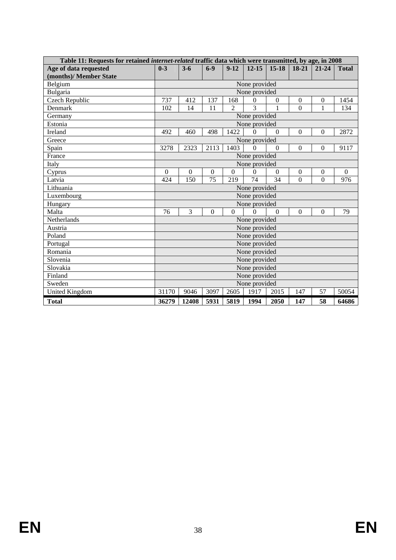| Table 11: Requests for retained <i>internet-related</i> traffic data which were transmitted, by age, in 2008 |                |                |                  |                |               |                |                  |                  |                  |
|--------------------------------------------------------------------------------------------------------------|----------------|----------------|------------------|----------------|---------------|----------------|------------------|------------------|------------------|
| Age of data requested                                                                                        | $0 - 3$        | $3 - 6$        | $6-9$            | $9-12$         | $12 - 15$     | $15 - 18$      | 18-21            | $21 - 24$        | <b>Total</b>     |
| (months)/ Member State                                                                                       |                |                |                  |                |               |                |                  |                  |                  |
| Belgium                                                                                                      |                |                |                  |                | None provided |                |                  |                  |                  |
| Bulgaria                                                                                                     |                |                |                  |                | None provided |                |                  |                  |                  |
| Czech Republic                                                                                               | 737            | 412            | 137              | 168            | $\theta$      | $\mathbf{0}$   | $\boldsymbol{0}$ | $\boldsymbol{0}$ | 1454             |
| Denmark                                                                                                      | 102            | 14             | 11               | $\mathfrak{D}$ | 3             | 1              | $\Omega$         | 1                | 134              |
| Germany                                                                                                      | None provided  |                |                  |                |               |                |                  |                  |                  |
| Estonia                                                                                                      |                |                |                  |                | None provided |                |                  |                  |                  |
| Ireland                                                                                                      | 492            | 460            | 498              | 1422           | $\Omega$      | $\overline{0}$ | $\overline{0}$   | $\overline{0}$   | 2872             |
| Greece                                                                                                       |                |                |                  |                | None provided |                |                  |                  |                  |
| Spain                                                                                                        | 3278           | 2323           | 2113             | 1403           | $\mathbf{0}$  | $\overline{0}$ | $\Omega$         | $\Omega$         | 9117             |
| France                                                                                                       | None provided  |                |                  |                |               |                |                  |                  |                  |
| Italy                                                                                                        |                |                |                  |                | None provided |                |                  |                  |                  |
| Cyprus                                                                                                       | $\overline{0}$ | $\overline{0}$ | $\boldsymbol{0}$ | $\overline{0}$ | 0             | $\Omega$       | $\overline{0}$   | $\boldsymbol{0}$ | $\boldsymbol{0}$ |
| Latvia                                                                                                       | 424            | 150            | 75               | 219            | 74            | 34             | $\Omega$         | $\overline{0}$   | 976              |
| Lithuania                                                                                                    |                |                |                  |                | None provided |                |                  |                  |                  |
| Luxembourg                                                                                                   |                |                |                  |                | None provided |                |                  |                  |                  |
| Hungary                                                                                                      |                |                |                  |                | None provided |                |                  |                  |                  |
| Malta                                                                                                        | 76             | 3              | $\mathbf{0}$     | $\Omega$       | $\Omega$      | $\Omega$       | $\overline{0}$   | $\mathbf{0}$     | 79               |
| Netherlands                                                                                                  |                |                |                  |                | None provided |                |                  |                  |                  |
| Austria                                                                                                      |                |                |                  |                | None provided |                |                  |                  |                  |
| Poland                                                                                                       |                |                |                  |                | None provided |                |                  |                  |                  |
| Portugal                                                                                                     |                |                |                  |                | None provided |                |                  |                  |                  |
| Romania                                                                                                      |                |                |                  |                | None provided |                |                  |                  |                  |
| Slovenia                                                                                                     |                |                |                  |                | None provided |                |                  |                  |                  |
| Slovakia                                                                                                     |                |                |                  |                | None provided |                |                  |                  |                  |
| Finland                                                                                                      |                |                |                  |                | None provided |                |                  |                  |                  |
| Sweden                                                                                                       |                |                |                  |                | None provided |                |                  |                  |                  |
| <b>United Kingdom</b>                                                                                        | 31170          | 9046           | 3097             | 2605           | 1917          | 2015           | 147              | 57               | 50054            |
| <b>Total</b>                                                                                                 | 36279          | 12408          | 5931             | 5819           | 1994          | 2050           | 147              | 58               | 64686            |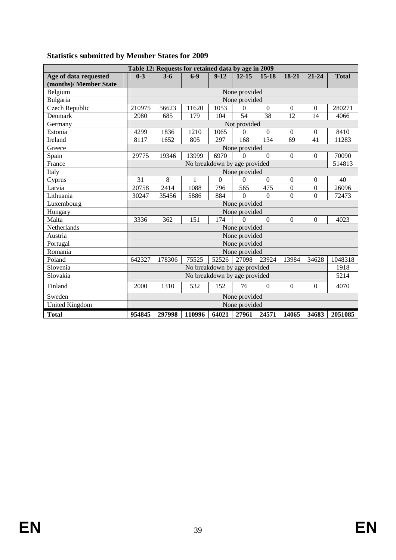|                        |         | Table 12: Requests for retained data by age in 2009 |                              |          |                |                  |                  |                  |              |
|------------------------|---------|-----------------------------------------------------|------------------------------|----------|----------------|------------------|------------------|------------------|--------------|
| Age of data requested  | $0 - 3$ | $3 - 6$                                             | $6-9$                        | $9-12$   | $12 - 15$      | $15 - 18$        | 18-21            | $21 - 24$        | <b>Total</b> |
| (months)/ Member State |         |                                                     |                              |          |                |                  |                  |                  |              |
| Belgium                |         |                                                     |                              |          | None provided  |                  |                  |                  |              |
| Bulgaria               |         |                                                     |                              |          | None provided  |                  |                  |                  |              |
| Czech Republic         | 210975  | 56623                                               | 11620                        | 1053     | $\Omega$       | $\Omega$         | $\Omega$         | $\mathbf{0}$     | 280271       |
| Denmark                | 2980    | 685                                                 | 179                          | 104      | 54             | 38               | 12               | 14               | 4066         |
| Germany                |         |                                                     |                              |          | Not provided   |                  |                  |                  |              |
| Estonia                | 4299    | 1836                                                | 1210                         | 1065     | $\Omega$       | $\boldsymbol{0}$ | $\boldsymbol{0}$ | $\boldsymbol{0}$ | 8410         |
| Ireland                | 8117    | 1652                                                | 805                          | 297      | 168            | 134              | 69               | 41               | 11283        |
| Greece                 |         |                                                     |                              |          | None provided  |                  |                  |                  |              |
| Spain                  | 29775   | 19346                                               | 13999                        | 6970     | $\Omega$       | $\Omega$         | $\Omega$         | $\boldsymbol{0}$ | 70090        |
| France                 |         |                                                     | No breakdown by age provided |          |                |                  |                  |                  | 514813       |
| Italy                  |         | None provided                                       |                              |          |                |                  |                  |                  |              |
| Cyprus                 | 31      | 8                                                   | 1                            | $\Omega$ | $\Omega$       | $\boldsymbol{0}$ | $\boldsymbol{0}$ | $\boldsymbol{0}$ | 40           |
| Latvia                 | 20758   | 2414                                                | 1088                         | 796      | 565            | 475              | $\boldsymbol{0}$ | $\boldsymbol{0}$ | 26096        |
| Lithuania              | 30247   | 35456                                               | 5886                         | 884      | $\Omega$       | $\overline{0}$   | $\overline{0}$   | $\overline{0}$   | 72473        |
| Luxembourg             |         |                                                     |                              |          | None provided  |                  |                  |                  |              |
| Hungary                |         |                                                     |                              |          | None provided  |                  |                  |                  |              |
| Malta                  | 3336    | 362                                                 | 151                          | 174      | $\overline{0}$ | $\mathbf{0}$     | $\Omega$         | $\Omega$         | 4023         |
| Netherlands            |         |                                                     |                              |          | None provided  |                  |                  |                  |              |
| Austria                |         |                                                     |                              |          | None provided  |                  |                  |                  |              |
| Portugal               |         |                                                     |                              |          | None provided  |                  |                  |                  |              |
| Romania                |         |                                                     |                              |          | None provided  |                  |                  |                  |              |
| Poland                 | 642327  | 178306                                              | 75525                        | 52526    | 27098          | 23924            | 13984            | 34628            | 1048318      |
| Slovenia               |         |                                                     | No breakdown by age provided |          |                |                  |                  |                  | 1918         |
| Slovakia               |         |                                                     | No breakdown by age provided |          |                |                  |                  |                  | 5214         |
| Finland                | 2000    | 1310                                                | 532                          | 152      | 76             | $\theta$         | $\boldsymbol{0}$ | $\boldsymbol{0}$ | 4070         |
| Sweden                 |         |                                                     |                              |          | None provided  |                  |                  |                  |              |
| <b>United Kingdom</b>  |         |                                                     |                              |          | None provided  |                  |                  |                  |              |
| <b>Total</b>           | 954845  | 297998                                              | 110996                       | 64021    |                | 27961 24571      | 14065            | 34683            | 2051085      |

# **Statistics submitted by Member States for 2009**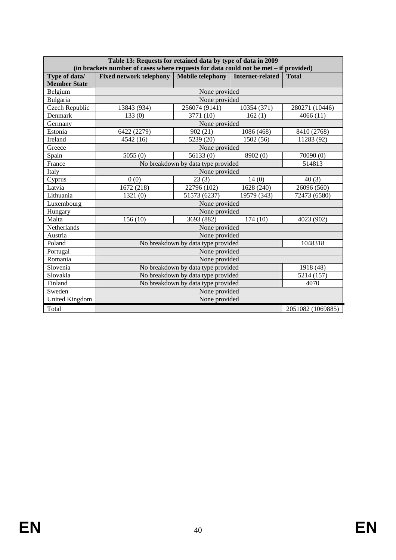|                     | Table 13: Requests for retained data by type of data in 2009<br>(in brackets number of cases where requests for data could not be met - if provided) |                                    |                         |                   |  |  |  |  |  |  |
|---------------------|------------------------------------------------------------------------------------------------------------------------------------------------------|------------------------------------|-------------------------|-------------------|--|--|--|--|--|--|
| Type of data/       | <b>Fixed network telephony</b>                                                                                                                       | <b>Mobile telephony</b>            | <b>Internet-related</b> | <b>Total</b>      |  |  |  |  |  |  |
| <b>Member State</b> |                                                                                                                                                      |                                    |                         |                   |  |  |  |  |  |  |
| Belgium             |                                                                                                                                                      |                                    |                         |                   |  |  |  |  |  |  |
| Bulgaria            |                                                                                                                                                      | None provided                      |                         |                   |  |  |  |  |  |  |
| Czech Republic      | 13843 (934)                                                                                                                                          | 256074 (9141)                      | 10354 (371)             | 280271 (10446)    |  |  |  |  |  |  |
| Denmark             | 133(0)                                                                                                                                               | 3771 (10)                          | 162(1)                  | 4066(11)          |  |  |  |  |  |  |
| Germany             |                                                                                                                                                      | None provided                      |                         |                   |  |  |  |  |  |  |
| Estonia             | 6422 (2279)                                                                                                                                          | 902(21)                            | 1086 (468)              | 8410 (2768)       |  |  |  |  |  |  |
| Ireland             | 4542 (16)                                                                                                                                            | 5239 (20)                          | 1502 (56)               | 11283 (92)        |  |  |  |  |  |  |
| Greece              |                                                                                                                                                      | None provided                      |                         |                   |  |  |  |  |  |  |
| Spain               | 5055(0)                                                                                                                                              | 56133(0)                           | 8902 (0)<br>70090(0)    |                   |  |  |  |  |  |  |
| France              |                                                                                                                                                      | No breakdown by data type provided |                         | 514813            |  |  |  |  |  |  |
| Italy               |                                                                                                                                                      | None provided                      |                         |                   |  |  |  |  |  |  |
| Cyprus              | 0(0)                                                                                                                                                 | 23(3)                              | 14(0)                   | 40(3)             |  |  |  |  |  |  |
| Latvia              | 1672 (218)                                                                                                                                           | 22796 (102)                        | 1628 (240)              | 26096 (560)       |  |  |  |  |  |  |
| Lithuania           | 1321(0)                                                                                                                                              | 51573 (6237)                       | 19579 (343)             | 72473 (6580)      |  |  |  |  |  |  |
| Luxembourg          |                                                                                                                                                      |                                    |                         |                   |  |  |  |  |  |  |
| Hungary             |                                                                                                                                                      | None provided                      |                         |                   |  |  |  |  |  |  |
| Malta               | 156(10)                                                                                                                                              | 3693 (882)                         | 174(10)                 | 4023 (902)        |  |  |  |  |  |  |
| Netherlands         |                                                                                                                                                      | None provided                      |                         |                   |  |  |  |  |  |  |
| Austria             |                                                                                                                                                      | None provided                      |                         |                   |  |  |  |  |  |  |
| Poland              |                                                                                                                                                      | No breakdown by data type provided |                         | 1048318           |  |  |  |  |  |  |
| Portugal            |                                                                                                                                                      | None provided                      |                         |                   |  |  |  |  |  |  |
| Romania             |                                                                                                                                                      | None provided                      |                         |                   |  |  |  |  |  |  |
| Slovenia            |                                                                                                                                                      | No breakdown by data type provided |                         | 1918 (48)         |  |  |  |  |  |  |
| Slovakia            |                                                                                                                                                      | No breakdown by data type provided |                         | 5214 (157)        |  |  |  |  |  |  |
| Finland             |                                                                                                                                                      | No breakdown by data type provided |                         | 4070              |  |  |  |  |  |  |
| Sweden              |                                                                                                                                                      | None provided                      |                         |                   |  |  |  |  |  |  |
| United Kingdom      |                                                                                                                                                      | None provided                      |                         |                   |  |  |  |  |  |  |
| Total               |                                                                                                                                                      |                                    |                         | 2051082 (1069885) |  |  |  |  |  |  |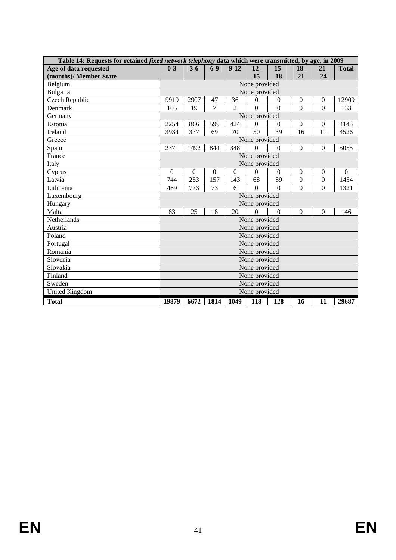| Table 14: Requests for retained <i>fixed network telephony</i> data which were transmitted, by age, in 2009 |                                                                                                                                        |         |                |                |               |                  |                  |                  |              |
|-------------------------------------------------------------------------------------------------------------|----------------------------------------------------------------------------------------------------------------------------------------|---------|----------------|----------------|---------------|------------------|------------------|------------------|--------------|
| Age of data requested                                                                                       | $0 - 3$                                                                                                                                | $3 - 6$ | $6 - 9$        | $9-12$         | $12-$         | $15-$            | $18-$            | $21 -$           | <b>Total</b> |
| (months)/ Member State                                                                                      |                                                                                                                                        |         |                |                | 15            | 18               | 21               | 24               |              |
| Belgium                                                                                                     |                                                                                                                                        |         |                |                | None provided |                  |                  |                  |              |
| Bulgaria                                                                                                    |                                                                                                                                        |         |                |                | None provided |                  |                  |                  |              |
| <b>Czech Republic</b>                                                                                       | 9919                                                                                                                                   | 2907    | 47             | 36             | $\Omega$      | $\Omega$         | $\mathbf{0}$     | $\mathbf{0}$     | 12909        |
| Denmark                                                                                                     | 105                                                                                                                                    | 19      | $\overline{7}$ | $\overline{2}$ | $\Omega$      | $\Omega$         | $\overline{0}$   | $\Omega$         | 133          |
| Germany                                                                                                     |                                                                                                                                        |         |                |                | None provided |                  |                  |                  |              |
| Estonia                                                                                                     | 2254                                                                                                                                   | 866     | 599            | 424            | $\Omega$      | $\boldsymbol{0}$ | $\boldsymbol{0}$ | $\boldsymbol{0}$ | 4143         |
| Ireland                                                                                                     | 3934                                                                                                                                   | 337     | 69             | 70             | 50            | 39               | 16               | 11               | 4526         |
| Greece                                                                                                      | None provided                                                                                                                          |         |                |                |               |                  |                  |                  |              |
| Spain                                                                                                       | 2371                                                                                                                                   | 1492    | 844            | 348            | $\Omega$      | $\theta$         | $\Omega$         | $\boldsymbol{0}$ | 5055         |
| France                                                                                                      | None provided                                                                                                                          |         |                |                |               |                  |                  |                  |              |
| Italy                                                                                                       | None provided                                                                                                                          |         |                |                |               |                  |                  |                  |              |
| Cyprus                                                                                                      | $\overline{0}$<br>$\overline{0}$<br>$\overline{0}$<br>$\overline{0}$<br>$\overline{0}$<br>$\overline{0}$<br>$\overline{0}$<br>$\Omega$ |         |                |                |               |                  |                  | $\overline{0}$   |              |
| Latvia                                                                                                      | 744                                                                                                                                    | 253     | 157            | 143            | 68            | 89               | $\boldsymbol{0}$ | $\boldsymbol{0}$ | 1454         |
| Lithuania                                                                                                   | 469                                                                                                                                    | 773     | 73             | 6              | $\Omega$      | $\Omega$         | $\Omega$         | $\overline{0}$   | 1321         |
| Luxembourg                                                                                                  |                                                                                                                                        |         |                |                | None provided |                  |                  |                  |              |
| Hungary                                                                                                     |                                                                                                                                        |         |                |                | None provided |                  |                  |                  |              |
| Malta                                                                                                       | 83                                                                                                                                     | 25      | 18             | 20             | $\Omega$      | $\Omega$         | $\overline{0}$   | $\overline{0}$   | 146          |
| Netherlands                                                                                                 |                                                                                                                                        |         |                |                | None provided |                  |                  |                  |              |
| Austria                                                                                                     |                                                                                                                                        |         |                |                | None provided |                  |                  |                  |              |
| Poland                                                                                                      |                                                                                                                                        |         |                |                | None provided |                  |                  |                  |              |
| Portugal                                                                                                    |                                                                                                                                        |         |                |                | None provided |                  |                  |                  |              |
| Romania                                                                                                     |                                                                                                                                        |         |                |                | None provided |                  |                  |                  |              |
| Slovenia                                                                                                    |                                                                                                                                        |         |                |                | None provided |                  |                  |                  |              |
| Slovakia                                                                                                    |                                                                                                                                        |         |                |                | None provided |                  |                  |                  |              |
| Finland                                                                                                     |                                                                                                                                        |         |                |                | None provided |                  |                  |                  |              |
| Sweden                                                                                                      |                                                                                                                                        |         |                |                | None provided |                  |                  |                  |              |
| <b>United Kingdom</b>                                                                                       |                                                                                                                                        |         |                |                | None provided |                  |                  |                  |              |
| <b>Total</b>                                                                                                | 19879                                                                                                                                  | 6672    | 1814           | 1049           | 118           | 128              | 16               | 11               | 29687        |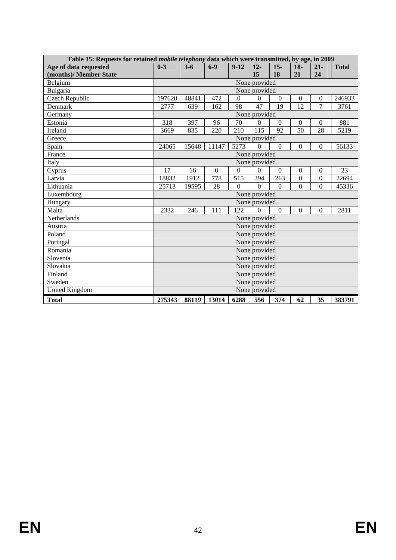| Table 15: Requests for retained <i>mobile telephony</i> data which were transmitted, by age, in 2009 |                                                                                                                    |               |       |                  |                |                  |                  |                  |              |
|------------------------------------------------------------------------------------------------------|--------------------------------------------------------------------------------------------------------------------|---------------|-------|------------------|----------------|------------------|------------------|------------------|--------------|
| Age of data requested                                                                                | $0 - 3$                                                                                                            | $3 - 6$       | $6-9$ | $9-12$           | $12-$          | $15-$            | $18-$            | $21 -$           | <b>Total</b> |
| (months)/ Member State                                                                               |                                                                                                                    |               |       |                  | 15             | 18               | 21               | 24               |              |
| Belgium                                                                                              |                                                                                                                    |               |       |                  | None provided  |                  |                  |                  |              |
| Bulgaria                                                                                             |                                                                                                                    |               |       |                  | None provided  |                  |                  |                  |              |
| Czech Republic                                                                                       | 197620                                                                                                             | 48841         | 472   | $\boldsymbol{0}$ | $\Omega$       | $\boldsymbol{0}$ | $\boldsymbol{0}$ | $\boldsymbol{0}$ | 246933       |
| Denmark                                                                                              | 2777                                                                                                               | 639           | 162   | 98               | 47             | 19               | 12               | 7                | 3761         |
| Germany                                                                                              |                                                                                                                    |               |       |                  | None provided  |                  |                  |                  |              |
| Estonia                                                                                              | 318                                                                                                                | 397           | 96    | 70               | $\overline{0}$ | $\boldsymbol{0}$ | $\boldsymbol{0}$ | $\boldsymbol{0}$ | 881          |
| Ireland                                                                                              | 3669                                                                                                               | 835           | 220   | 210              | 115            | 92               | 50               | 28               | 5219         |
| Greece                                                                                               |                                                                                                                    | None provided |       |                  |                |                  |                  |                  |              |
| Spain                                                                                                | 24065                                                                                                              | 15648         | 11147 | 5273             | $\Omega$       | $\mathbf{0}$     | $\overline{0}$   | $\boldsymbol{0}$ | 56133        |
| France                                                                                               |                                                                                                                    | None provided |       |                  |                |                  |                  |                  |              |
| Italy                                                                                                |                                                                                                                    | None provided |       |                  |                |                  |                  |                  |              |
| Cyprus                                                                                               | 17<br>$\overline{0}$<br>$\overline{0}$<br>$\Omega$<br>16<br>$\overline{0}$<br>$\boldsymbol{0}$<br>$\boldsymbol{0}$ |               |       |                  |                |                  |                  | 23               |              |
| Latvia                                                                                               | 18832                                                                                                              | 1912          | 778   | 515              | 394            | 263              | $\boldsymbol{0}$ | $\mathbf{0}$     | 22694        |
| Lithuania                                                                                            | 25713                                                                                                              | 19595         | 28    | $\Omega$         | $\Omega$       | $\mathbf{0}$     | $\overline{0}$   | $\boldsymbol{0}$ | 45336        |
| Luxembourg                                                                                           |                                                                                                                    |               |       |                  | None provided  |                  |                  |                  |              |
| Hungary                                                                                              |                                                                                                                    |               |       |                  | None provided  |                  |                  |                  |              |
| Malta                                                                                                | 2332                                                                                                               | 246           | 111   | 122              | $\overline{0}$ | $\overline{0}$   | $\Omega$         | $\Omega$         | 2811         |
| Netherlands                                                                                          |                                                                                                                    |               |       |                  | None provided  |                  |                  |                  |              |
| Austria                                                                                              |                                                                                                                    |               |       |                  | None provided  |                  |                  |                  |              |
| Poland                                                                                               |                                                                                                                    |               |       |                  | None provided  |                  |                  |                  |              |
| Portugal                                                                                             |                                                                                                                    |               |       |                  | None provided  |                  |                  |                  |              |
| Romania                                                                                              |                                                                                                                    |               |       |                  | None provided  |                  |                  |                  |              |
| Slovenia                                                                                             |                                                                                                                    |               |       |                  | None provided  |                  |                  |                  |              |
| Slovakia                                                                                             |                                                                                                                    |               |       |                  | None provided  |                  |                  |                  |              |
| Finland                                                                                              |                                                                                                                    |               |       |                  | None provided  |                  |                  |                  |              |
| Sweden                                                                                               |                                                                                                                    |               |       |                  | None provided  |                  |                  |                  |              |
| <b>United Kingdom</b>                                                                                |                                                                                                                    |               |       |                  | None provided  |                  |                  |                  |              |
| <b>Total</b>                                                                                         | 275343                                                                                                             | 88119         | 13014 | 6288             | 556            | 374              | 62               | 35               | 383791       |